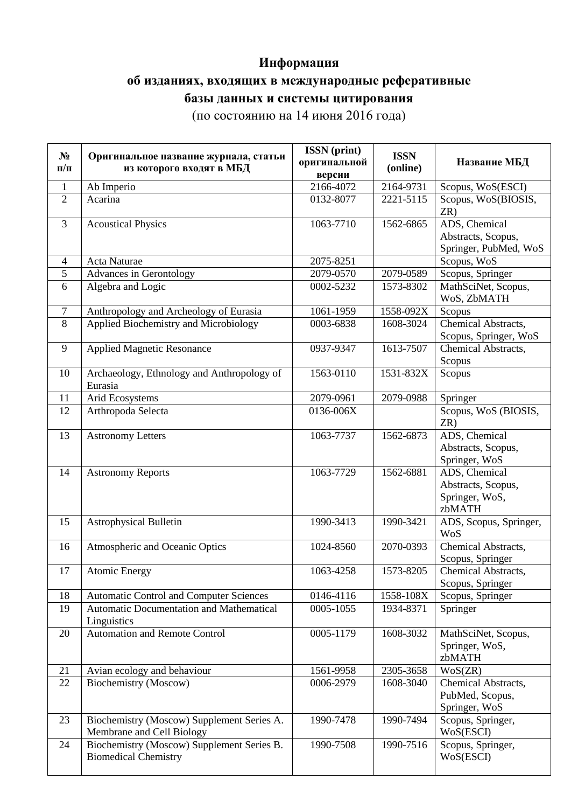## **Информация**

## **об изданиях, входящих в международные реферативные**

## **базы данных и системы цитирования**

(по состоянию на 14 июня 2016 года)

| $N_2$<br>$\Pi/\Pi$ | Оригинальное название журнала, статьи<br>из которого входят в МБД         | <b>ISSN</b> (print)<br>оригинальной<br>версии | <b>ISSN</b><br>(online) | Название МБД                                                    |
|--------------------|---------------------------------------------------------------------------|-----------------------------------------------|-------------------------|-----------------------------------------------------------------|
| $\mathbf{1}$       | Ab Imperio                                                                | 2166-4072                                     | 2164-9731               | Scopus, WoS(ESCI)                                               |
| $\overline{2}$     | Acarina                                                                   | 0132-8077                                     | 2221-5115               | Scopus, WoS(BIOSIS,<br>ZR)                                      |
| 3                  | <b>Acoustical Physics</b>                                                 | 1063-7710                                     | 1562-6865               | ADS, Chemical<br>Abstracts, Scopus,<br>Springer, PubMed, WoS    |
| $\overline{4}$     | Acta Naturae                                                              | 2075-8251                                     |                         | Scopus, $\overline{WoS}$                                        |
| 5                  | Advances in Gerontology                                                   | 2079-0570                                     | 2079-0589               | Scopus, Springer                                                |
| 6                  | Algebra and Logic                                                         | 0002-5232                                     | 1573-8302               | MathSciNet, Scopus,<br>WoS, ZbMATH                              |
| $\tau$             | Anthropology and Archeology of Eurasia                                    | 1061-1959                                     | 1558-092X               | Scopus                                                          |
| 8                  | Applied Biochemistry and Microbiology                                     | 0003-6838                                     | 1608-3024               | Chemical Abstracts,<br>Scopus, Springer, WoS                    |
| 9                  | <b>Applied Magnetic Resonance</b>                                         | 0937-9347                                     | 1613-7507               | Chemical Abstracts,<br>Scopus                                   |
| 10                 | Archaeology, Ethnology and Anthropology of<br>Eurasia                     | 1563-0110                                     | 1531-832X               | Scopus                                                          |
| 11                 | Arid Ecosystems                                                           | 2079-0961                                     | 2079-0988               | Springer                                                        |
| 12                 | Arthropoda Selecta                                                        | 0136-006X                                     |                         | Scopus, WoS (BIOSIS,<br>ZR)                                     |
| 13                 | <b>Astronomy Letters</b>                                                  | 1063-7737                                     | 1562-6873               | ADS, Chemical<br>Abstracts, Scopus,<br>Springer, WoS            |
| 14                 | <b>Astronomy Reports</b>                                                  | 1063-7729                                     | 1562-6881               | ADS, Chemical<br>Abstracts, Scopus,<br>Springer, WoS,<br>zbMATH |
| 15                 | <b>Astrophysical Bulletin</b>                                             | 1990-3413                                     | 1990-3421               | ADS, Scopus, Springer,<br><b>WoS</b>                            |
| 16                 | Atmospheric and Oceanic Optics                                            | 1024-8560                                     | 2070-0393               | Chemical Abstracts,<br>Scopus, Springer                         |
| 17                 | <b>Atomic Energy</b>                                                      | 1063-4258                                     | 1573-8205               | Chemical Abstracts,<br>Scopus, Springer                         |
| 18                 | <b>Automatic Control and Computer Sciences</b>                            | 0146-4116                                     | 1558-108X               | Scopus, Springer                                                |
| 19                 | <b>Automatic Documentation and Mathematical</b><br>Linguistics            | 0005-1055                                     | 1934-8371               | Springer                                                        |
| 20                 | <b>Automation and Remote Control</b>                                      | 0005-1179                                     | 1608-3032               | MathSciNet, Scopus,<br>Springer, WoS,<br>zbMATH                 |
| 21                 | Avian ecology and behaviour                                               | 1561-9958                                     | 2305-3658               | WoS(ZR)                                                         |
| 22                 | Biochemistry (Moscow)                                                     | 0006-2979                                     | 1608-3040               | Chemical Abstracts,<br>PubMed, Scopus,<br>Springer, WoS         |
| 23                 | Biochemistry (Moscow) Supplement Series A.<br>Membrane and Cell Biology   | 1990-7478                                     | 1990-7494               | Scopus, Springer,<br>WoS(ESCI)                                  |
| 24                 | Biochemistry (Moscow) Supplement Series B.<br><b>Biomedical Chemistry</b> | 1990-7508                                     | 1990-7516               | Scopus, Springer,<br>WoS(ESCI)                                  |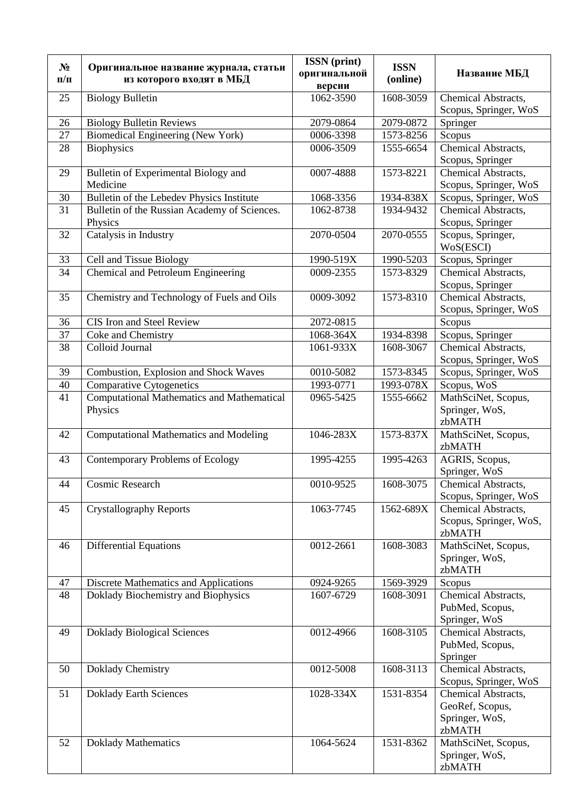|           |                                                   | <b>ISSN</b> (print) |             |                        |
|-----------|---------------------------------------------------|---------------------|-------------|------------------------|
| $N_2$     | Оригинальное название журнала, статьи             | оригинальной        | <b>ISSN</b> | Название МБД           |
| $\Pi/\Pi$ | из которого входят в МБД                          | версии              | (online)    |                        |
| 25        | <b>Biology Bulletin</b>                           | 1062-3590           | 1608-3059   | Chemical Abstracts,    |
|           |                                                   |                     |             | Scopus, Springer, WoS  |
| 26        | <b>Biology Bulletin Reviews</b>                   | 2079-0864           | 2079-0872   | Springer               |
| 27        | Biomedical Engineering (New York)                 | 0006-3398           | 1573-8256   | Scopus                 |
| 28        | <b>Biophysics</b>                                 | 0006-3509           | 1555-6654   | Chemical Abstracts,    |
|           |                                                   |                     |             | Scopus, Springer       |
| 29        | Bulletin of Experimental Biology and              | 0007-4888           | 1573-8221   | Chemical Abstracts,    |
|           | Medicine                                          |                     |             | Scopus, Springer, WoS  |
| 30        | Bulletin of the Lebedev Physics Institute         | 1068-3356           | 1934-838X   | Scopus, Springer, WoS  |
| 31        | Bulletin of the Russian Academy of Sciences.      | 1062-8738           | 1934-9432   | Chemical Abstracts,    |
|           | Physics                                           |                     |             | Scopus, Springer       |
| 32        | Catalysis in Industry                             | 2070-0504           | 2070-0555   | Scopus, Springer,      |
|           |                                                   |                     |             | WoS(ESCI)              |
| 33        | <b>Cell and Tissue Biology</b>                    | 1990-519X           | 1990-5203   | Scopus, Springer       |
| 34        | Chemical and Petroleum Engineering                | 0009-2355           | 1573-8329   | Chemical Abstracts,    |
|           |                                                   |                     |             | Scopus, Springer       |
| 35        | Chemistry and Technology of Fuels and Oils        | 0009-3092           | 1573-8310   | Chemical Abstracts,    |
|           |                                                   |                     |             | Scopus, Springer, WoS  |
| 36        | CIS Iron and Steel Review                         | 2072-0815           |             | Scopus                 |
| 37        | Coke and Chemistry                                | 1068-364X           | 1934-8398   | Scopus, Springer       |
| 38        | Colloid Journal                                   | 1061-933X           | 1608-3067   | Chemical Abstracts,    |
|           |                                                   |                     |             | Scopus, Springer, WoS  |
| 39        | Combustion, Explosion and Shock Waves             | 0010-5082           | 1573-8345   | Scopus, Springer, WoS  |
| 40        | Comparative Cytogenetics                          | 1993-0771           | 1993-078X   | Scopus, WoS            |
| 41        | <b>Computational Mathematics and Mathematical</b> | 0965-5425           | 1555-6662   | MathSciNet, Scopus,    |
|           | Physics                                           |                     |             | Springer, WoS,         |
|           |                                                   |                     |             | zbMATH                 |
| 42        | <b>Computational Mathematics and Modeling</b>     | 1046-283X           | 1573-837X   | MathSciNet, Scopus,    |
|           |                                                   |                     |             | zbMATH                 |
| 43        | <b>Contemporary Problems of Ecology</b>           | 1995-4255           | 1995-4263   | AGRIS, Scopus,         |
|           |                                                   |                     |             | Springer, WoS          |
| 44        | Cosmic Research                                   | 0010-9525           | 1608-3075   | Chemical Abstracts,    |
|           |                                                   |                     |             | Scopus, Springer, WoS  |
| 45        | <b>Crystallography Reports</b>                    | 1063-7745           | 1562-689X   | Chemical Abstracts,    |
|           |                                                   |                     |             | Scopus, Springer, WoS, |
|           |                                                   |                     |             | zbMATH                 |
| 46        | <b>Differential Equations</b>                     | 0012-2661           | 1608-3083   | MathSciNet, Scopus,    |
|           |                                                   |                     |             | Springer, WoS,         |
|           |                                                   |                     |             | zbMATH                 |
| 47        | <b>Discrete Mathematics and Applications</b>      | 0924-9265           | 1569-3929   | Scopus                 |
| 48        | Doklady Biochemistry and Biophysics               | 1607-6729           | 1608-3091   | Chemical Abstracts,    |
|           |                                                   |                     |             | PubMed, Scopus,        |
|           |                                                   |                     |             | Springer, WoS          |
| 49        | <b>Doklady Biological Sciences</b>                | 0012-4966           | 1608-3105   | Chemical Abstracts,    |
|           |                                                   |                     |             | PubMed, Scopus,        |
|           |                                                   |                     |             | Springer               |
| 50        | Doklady Chemistry                                 | 0012-5008           | 1608-3113   | Chemical Abstracts,    |
|           |                                                   |                     |             | Scopus, Springer, WoS  |
| 51        | <b>Doklady Earth Sciences</b>                     | 1028-334X           | 1531-8354   | Chemical Abstracts,    |
|           |                                                   |                     |             | GeoRef, Scopus,        |
|           |                                                   |                     |             | Springer, WoS,         |
|           |                                                   |                     |             | zbMATH                 |
| 52        | <b>Doklady Mathematics</b>                        | 1064-5624           | 1531-8362   | MathSciNet, Scopus,    |
|           |                                                   |                     |             | Springer, WoS,         |
|           |                                                   |                     |             | zbMATH                 |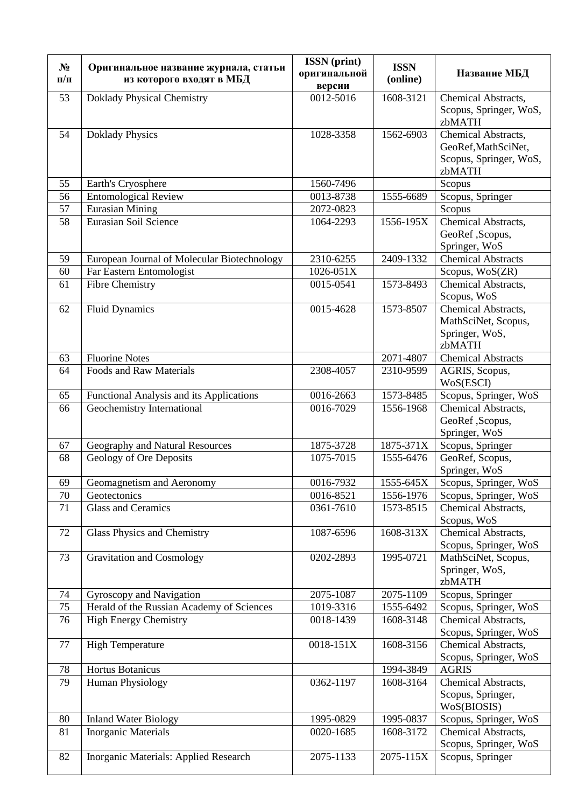| $N_2$<br>$\Pi/\Pi$ | Оригинальное название журнала, статьи<br>из которого входят в МБД | <b>ISSN</b> (print)<br>оригинальной | <b>ISSN</b><br>(online) | Название МБД                              |
|--------------------|-------------------------------------------------------------------|-------------------------------------|-------------------------|-------------------------------------------|
|                    |                                                                   | версии                              |                         |                                           |
| 53                 | <b>Doklady Physical Chemistry</b>                                 | 0012-5016                           | 1608-3121               | Chemical Abstracts,                       |
|                    |                                                                   |                                     |                         | Scopus, Springer, WoS,<br>zbMATH          |
| 54                 | <b>Doklady Physics</b>                                            | 1028-3358                           | 1562-6903               | Chemical Abstracts,                       |
|                    |                                                                   |                                     |                         | GeoRef, MathSciNet,                       |
|                    |                                                                   |                                     |                         | Scopus, Springer, WoS,                    |
|                    |                                                                   |                                     |                         | zbMATH                                    |
| 55                 | Earth's Cryosphere                                                | 1560-7496                           |                         | Scopus                                    |
| 56                 | <b>Entomological Review</b>                                       | 0013-8738                           | 1555-6689               | Scopus, Springer                          |
| 57                 | <b>Eurasian Mining</b>                                            | 2072-0823                           |                         | Scopus                                    |
| 58                 | Eurasian Soil Science                                             | 1064-2293                           | 1556-195X               | Chemical Abstracts,                       |
|                    |                                                                   |                                     |                         | GeoRef ,Scopus,<br>Springer, WoS          |
| 59                 | European Journal of Molecular Biotechnology                       | 2310-6255                           | 2409-1332               | Chemical Abstracts                        |
| 60                 | Far Eastern Entomologist                                          | 1026-051X                           |                         | Scopus, WoS(ZR)                           |
| 61                 | <b>Fibre Chemistry</b>                                            | 0015-0541                           | 1573-8493               | Chemical Abstracts,                       |
|                    |                                                                   |                                     |                         | Scopus, WoS                               |
| 62                 | <b>Fluid Dynamics</b>                                             | $\overline{0015}$ -4628             | 1573-8507               | Chemical Abstracts,                       |
|                    |                                                                   |                                     |                         | MathSciNet, Scopus,                       |
|                    |                                                                   |                                     |                         | Springer, WoS,                            |
|                    |                                                                   |                                     |                         | zbMATH                                    |
| 63                 | <b>Fluorine Notes</b>                                             |                                     | 2071-4807               | <b>Chemical Abstracts</b>                 |
| 64                 | <b>Foods and Raw Materials</b>                                    | 2308-4057                           | 2310-9599               | AGRIS, Scopus,<br>WoS(ESCI)               |
| 65                 | Functional Analysis and its Applications                          | 0016-2663                           | 1573-8485               | Scopus, Springer, WoS                     |
| 66                 | Geochemistry International                                        | 0016-7029                           | 1556-1968               | Chemical Abstracts,                       |
|                    |                                                                   |                                     |                         | GeoRef ,Scopus,                           |
|                    |                                                                   |                                     |                         | Springer, WoS                             |
| 67                 | Geography and Natural Resources                                   | 1875-3728                           | 1875-371X               | Scopus, Springer                          |
| 68                 | Geology of Ore Deposits                                           | 1075-7015                           | 1555-6476               | GeoRef, Scopus,<br>Springer, WoS          |
| 69                 | Geomagnetism and Aeronomy                                         | 0016-7932                           | $1555 - 645X$           | Scopus, Springer, WoS                     |
| 70                 | Geotectonics                                                      | 0016-8521                           | 1556-1976               | Scopus, Springer, WoS                     |
| 71                 | <b>Glass and Ceramics</b>                                         | 0361-7610                           | 1573-8515               | Chemical Abstracts,                       |
|                    |                                                                   |                                     |                         | Scopus, WoS                               |
| 72                 | Glass Physics and Chemistry                                       | 1087-6596                           | 1608-313X               | Chemical Abstracts,                       |
|                    |                                                                   |                                     |                         | Scopus, Springer, WoS                     |
| 73                 | <b>Gravitation and Cosmology</b>                                  | 0202-2893                           | 1995-0721               | MathSciNet, Scopus,                       |
|                    |                                                                   |                                     |                         | Springer, WoS,                            |
| 74                 | Gyroscopy and Navigation                                          | 2075-1087                           | 2075-1109               | zbMATH<br>Scopus, Springer                |
| 75                 | Herald of the Russian Academy of Sciences                         | 1019-3316                           | 1555-6492               | Scopus, Springer, WoS                     |
| 76                 | <b>High Energy Chemistry</b>                                      | 0018-1439                           | 1608-3148               | Chemical Abstracts,                       |
|                    |                                                                   |                                     |                         | Scopus, Springer, WoS                     |
| 77                 | <b>High Temperature</b>                                           | 0018-151X                           | 1608-3156               | Chemical Abstracts,                       |
|                    |                                                                   |                                     |                         | Scopus, Springer, WoS                     |
| 78                 | Hortus Botanicus                                                  |                                     | 1994-3849               | <b>AGRIS</b>                              |
| 79                 | Human Physiology                                                  | 0362-1197                           | 1608-3164               | Chemical Abstracts,                       |
|                    |                                                                   |                                     |                         | Scopus, Springer,                         |
|                    |                                                                   |                                     |                         | WoS(BIOSIS)                               |
| 80                 | <b>Inland Water Biology</b>                                       | 1995-0829                           | 1995-0837               | Scopus, Springer, WoS                     |
| 81                 | <b>Inorganic Materials</b>                                        | 0020-1685                           | 1608-3172               | Chemical Abstracts,                       |
| 82                 | Inorganic Materials: Applied Research                             | 2075-1133                           | 2075-115X               | Scopus, Springer, WoS<br>Scopus, Springer |
|                    |                                                                   |                                     |                         |                                           |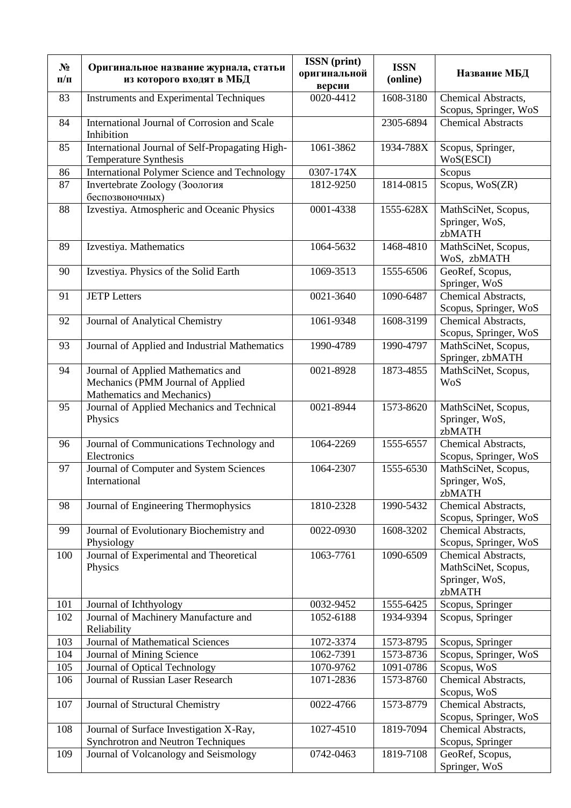| $N_2$<br>$\Pi/\Pi$ | Оригинальное название журнала, статьи<br>из которого входят в МБД                                     | <b>ISSN</b> (print)<br>оригинальной<br>версии | <b>ISSN</b><br>(online) | Название МБД                                                           |
|--------------------|-------------------------------------------------------------------------------------------------------|-----------------------------------------------|-------------------------|------------------------------------------------------------------------|
| 83                 | <b>Instruments and Experimental Techniques</b>                                                        | 0020-4412                                     | 1608-3180               | Chemical Abstracts,<br>Scopus, Springer, WoS                           |
| 84                 | International Journal of Corrosion and Scale<br>Inhibition                                            |                                               | 2305-6894               | <b>Chemical Abstracts</b>                                              |
| 85                 | International Journal of Self-Propagating High-<br>Temperature Synthesis                              | 1061-3862                                     | 1934-788X               | Scopus, Springer,<br>WoS(ESCI)                                         |
| 86                 | International Polymer Science and Technology                                                          | 0307-174X                                     |                         | Scopus                                                                 |
| 87                 | Invertebrate Zoology (Зоология<br>беспозвоночных)                                                     | 1812-9250                                     | 1814-0815               | Scopus, WoS(ZR)                                                        |
| 88                 | Izvestiya. Atmospheric and Oceanic Physics                                                            | 0001-4338                                     | 1555-628X               | MathSciNet, Scopus,<br>Springer, WoS,<br>zbMATH                        |
| 89                 | Izvestiya. Mathematics                                                                                | 1064-5632                                     | 1468-4810               | MathSciNet, Scopus,<br>WoS, zbMATH                                     |
| 90                 | Izvestiya. Physics of the Solid Earth                                                                 | 1069-3513                                     | 1555-6506               | GeoRef, Scopus,<br>Springer, WoS                                       |
| 91                 | <b>JETP Letters</b>                                                                                   | 0021-3640                                     | 1090-6487               | Chemical Abstracts,<br>Scopus, Springer, WoS                           |
| 92                 | Journal of Analytical Chemistry                                                                       | 1061-9348                                     | 1608-3199               | Chemical Abstracts,<br>Scopus, Springer, WoS                           |
| 93                 | Journal of Applied and Industrial Mathematics                                                         | 1990-4789                                     | 1990-4797               | MathSciNet, Scopus,<br>Springer, zbMATH                                |
| 94                 | Journal of Applied Mathematics and<br>Mechanics (PMM Journal of Applied<br>Mathematics and Mechanics) | 0021-8928                                     | 1873-4855               | MathSciNet, Scopus,<br><b>WoS</b>                                      |
| 95                 | Journal of Applied Mechanics and Technical<br>Physics                                                 | 0021-8944                                     | 1573-8620               | MathSciNet, Scopus,<br>Springer, WoS,<br>zbMATH                        |
| 96                 | Journal of Communications Technology and<br>Electronics                                               | 1064-2269                                     | 1555-6557               | Chemical Abstracts,<br>Scopus, Springer, WoS                           |
| 97                 | Journal of Computer and System Sciences<br>International                                              | 1064-2307                                     | 1555-6530               | MathSciNet, Scopus,<br>Springer, WoS,<br>zbMATH                        |
| 98                 | Journal of Engineering Thermophysics                                                                  | 1810-2328                                     | 1990-5432               | Chemical Abstracts,<br>Scopus, Springer, WoS                           |
| 99                 | Journal of Evolutionary Biochemistry and<br>Physiology                                                | 0022-0930                                     | 1608-3202               | Chemical Abstracts,<br>Scopus, Springer, WoS                           |
| 100                | Journal of Experimental and Theoretical<br>Physics                                                    | 1063-7761                                     | 1090-6509               | Chemical Abstracts,<br>MathSciNet, Scopus,<br>Springer, WoS,<br>zbMATH |
| 101                | Journal of Ichthyology                                                                                | 0032-9452                                     | 1555-6425               | Scopus, Springer                                                       |
| 102                | Journal of Machinery Manufacture and<br>Reliability                                                   | 1052-6188                                     | 1934-9394               | Scopus, Springer                                                       |
| 103                | Journal of Mathematical Sciences                                                                      | 1072-3374                                     | 1573-8795               | Scopus, Springer                                                       |
| 104                | Journal of Mining Science                                                                             | 1062-7391                                     | 1573-8736               | Scopus, Springer, WoS                                                  |
| 105                | Journal of Optical Technology                                                                         | 1070-9762                                     | 1091-0786               | Scopus, WoS                                                            |
| 106                | Journal of Russian Laser Research                                                                     | 1071-2836                                     | 1573-8760               | Chemical Abstracts,<br>Scopus, WoS                                     |
| 107                | Journal of Structural Chemistry                                                                       | 0022-4766                                     | 1573-8779               | Chemical Abstracts,<br>Scopus, Springer, WoS                           |
| 108                | Journal of Surface Investigation X-Ray,<br>Synchrotron and Neutron Techniques                         | 1027-4510                                     | 1819-7094               | Chemical Abstracts,<br>Scopus, Springer                                |
| 109                | Journal of Volcanology and Seismology                                                                 | 0742-0463                                     | 1819-7108               | GeoRef, Scopus,<br>Springer, WoS                                       |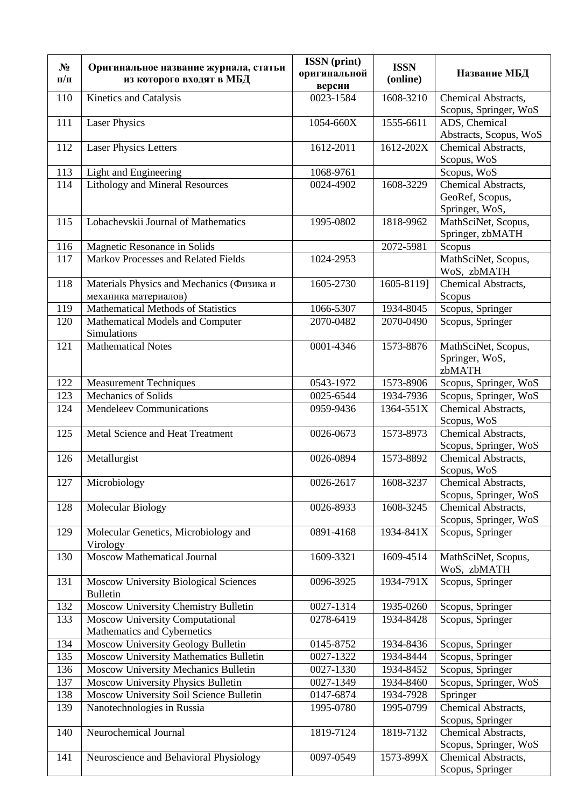| $N_2$      | Оригинальное название журнала, статьи                                 | <b>ISSN</b> (print)<br>оригинальной | <b>ISSN</b>            | Название МБД                       |
|------------|-----------------------------------------------------------------------|-------------------------------------|------------------------|------------------------------------|
| $\Pi/\Pi$  | из которого входят в МБД                                              | версии                              | (online)               |                                    |
| 110        | Kinetics and Catalysis                                                | 0023-1584                           | 1608-3210              | Chemical Abstracts,                |
|            |                                                                       |                                     |                        | Scopus, Springer, WoS              |
| 111        | <b>Laser Physics</b>                                                  | 1054-660X                           | 1555-6611              | ADS, Chemical                      |
|            |                                                                       |                                     |                        | Abstracts, Scopus, WoS             |
| 112        | <b>Laser Physics Letters</b>                                          | 1612-2011                           | 1612-202X              | Chemical Abstracts,<br>Scopus, WoS |
| 113        | Light and Engineering                                                 | 1068-9761                           |                        | Scopus, WoS                        |
| 114        | <b>Lithology and Mineral Resources</b>                                | 0024-4902                           | 1608-3229              | Chemical Abstracts,                |
|            |                                                                       |                                     |                        | GeoRef, Scopus,                    |
|            |                                                                       |                                     |                        | Springer, WoS,                     |
| 115        | Lobachevskii Journal of Mathematics                                   | 1995-0802                           | 1818-9962              | MathSciNet, Scopus,                |
|            |                                                                       |                                     |                        | Springer, zbMATH                   |
| 116        | Magnetic Resonance in Solids                                          |                                     | 2072-5981              | Scopus                             |
| 117        | Markov Processes and Related Fields                                   | 1024-2953                           |                        | MathSciNet, Scopus,                |
|            |                                                                       |                                     |                        | WoS, zbMATH                        |
| 118        | Materials Physics and Mechanics (Физика и<br>механика материалов)     | 1605-2730                           | 1605-8119]             | Chemical Abstracts,<br>Scopus      |
| 119        | Mathematical Methods of Statistics                                    | 1066-5307                           | 1934-8045              | Scopus, Springer                   |
| 120        | Mathematical Models and Computer                                      | 2070-0482                           | 2070-0490              | Scopus, Springer                   |
|            | Simulations                                                           |                                     |                        |                                    |
| 121        | <b>Mathematical Notes</b>                                             | 0001-4346                           | 1573-8876              | MathSciNet, Scopus,                |
|            |                                                                       |                                     |                        | Springer, WoS,                     |
|            |                                                                       |                                     |                        | zbMATH                             |
| 122        | <b>Measurement Techniques</b>                                         | 0543-1972                           | 1573-8906              | Scopus, Springer, WoS              |
| 123        | <b>Mechanics of Solids</b>                                            | 0025-6544                           | 1934-7936              | Scopus, Springer, WoS              |
| 124        | <b>Mendeleev Communications</b>                                       | 0959-9436                           | 1364-551X              | Chemical Abstracts,                |
| 125        | Metal Science and Heat Treatment                                      | 0026-0673                           | 1573-8973              | Scopus, WoS<br>Chemical Abstracts, |
|            |                                                                       |                                     |                        | Scopus, Springer, WoS              |
| 126        | Metallurgist                                                          | 0026-0894                           | 1573-8892              | Chemical Abstracts,                |
|            |                                                                       |                                     |                        | Scopus, WoS                        |
| 127        | Microbiology                                                          | 0026-2617                           | 1608-3237              | Chemical Abstracts,                |
|            |                                                                       |                                     |                        | Scopus, Springer, WoS              |
| 128        | Molecular Biology                                                     | 0026-8933                           | 1608-3245              | Chemical Abstracts,                |
|            |                                                                       |                                     |                        | Scopus, Springer, WoS              |
| 129        | Molecular Genetics, Microbiology and                                  | 0891-4168                           | 1934-841X              | Scopus, Springer                   |
| 130        | Virology<br><b>Moscow Mathematical Journal</b>                        | 1609-3321                           | 1609-4514              | MathSciNet, Scopus,                |
|            |                                                                       |                                     |                        | WoS, zbMATH                        |
| 131        | <b>Moscow University Biological Sciences</b>                          | 0096-3925                           | 1934-791X              | Scopus, Springer                   |
|            | <b>Bulletin</b>                                                       |                                     |                        |                                    |
| 132        | Moscow University Chemistry Bulletin                                  | 0027-1314                           | 1935-0260              | Scopus, Springer                   |
| 133        | <b>Moscow University Computational</b>                                | 0278-6419                           | 1934-8428              | Scopus, Springer                   |
|            | Mathematics and Cybernetics                                           |                                     |                        |                                    |
| 134        | Moscow University Geology Bulletin                                    | 0145-8752                           | 1934-8436              | Scopus, Springer                   |
| 135        | Moscow University Mathematics Bulletin                                | 0027-1322                           | 1934-8444              | Scopus, Springer                   |
| 136        | Moscow University Mechanics Bulletin                                  | 0027-1330                           | 1934-8452              | Scopus, Springer                   |
| 137        | Moscow University Physics Bulletin                                    | 0027-1349                           | 1934-8460              | Scopus, Springer, WoS              |
| 138<br>139 | Moscow University Soil Science Bulletin<br>Nanotechnologies in Russia | 0147-6874<br>1995-0780              | 1934-7928<br>1995-0799 | Springer<br>Chemical Abstracts,    |
|            |                                                                       |                                     |                        | Scopus, Springer                   |
| 140        | Neurochemical Journal                                                 | 1819-7124                           | 1819-7132              | Chemical Abstracts,                |
|            |                                                                       |                                     |                        | Scopus, Springer, WoS              |
| 141        | Neuroscience and Behavioral Physiology                                | 0097-0549                           | 1573-899X              | Chemical Abstracts,                |
|            |                                                                       |                                     |                        | Scopus, Springer                   |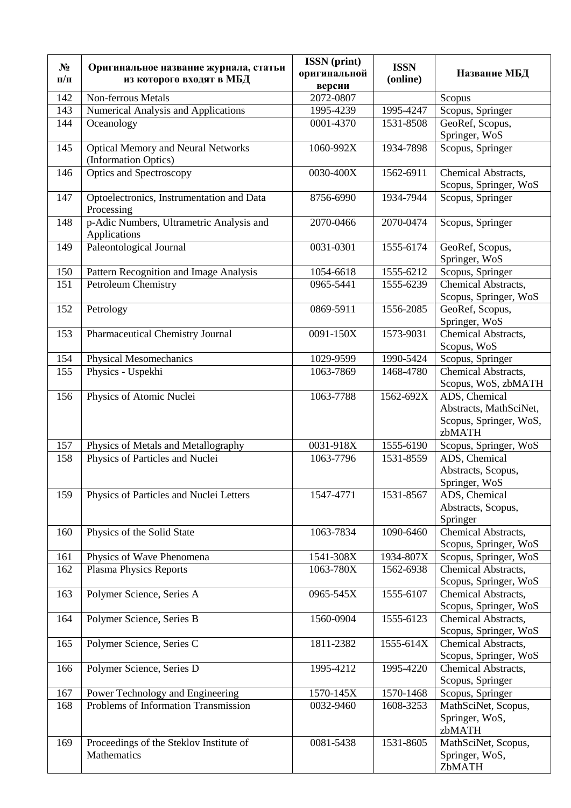| $N_2$     | Оригинальное название журнала, статьи                             | <b>ISSN</b> (print)<br>оригинальной | <b>ISSN</b> | Название МБД                                                                |
|-----------|-------------------------------------------------------------------|-------------------------------------|-------------|-----------------------------------------------------------------------------|
| $\Pi/\Pi$ | из которого входят в МБД                                          | версии                              | (online)    |                                                                             |
| 142       | Non-ferrous Metals                                                | 2072-0807                           |             | Scopus                                                                      |
| 143       | <b>Numerical Analysis and Applications</b>                        | 1995-4239                           | 1995-4247   | Scopus, Springer                                                            |
| 144       | Oceanology                                                        | 0001-4370                           | 1531-8508   | GeoRef, Scopus,                                                             |
|           |                                                                   |                                     |             | Springer, WoS                                                               |
| 145       | <b>Optical Memory and Neural Networks</b><br>(Information Optics) | 1060-992X                           | 1934-7898   | Scopus, Springer                                                            |
| 146       | <b>Optics and Spectroscopy</b>                                    | 0030-400X                           | 1562-6911   | Chemical Abstracts,<br>Scopus, Springer, WoS                                |
| 147       | Optoelectronics, Instrumentation and Data<br>Processing           | 8756-6990                           | 1934-7944   | Scopus, Springer                                                            |
| 148       | p-Adic Numbers, Ultrametric Analysis and<br>Applications          | 2070-0466                           | 2070-0474   | Scopus, Springer                                                            |
| 149       | Paleontological Journal                                           | 0031-0301                           | 1555-6174   | GeoRef, Scopus,<br>Springer, WoS                                            |
| 150       | Pattern Recognition and Image Analysis                            | 1054-6618                           | 1555-6212   | Scopus, Springer                                                            |
| 151       | Petroleum Chemistry                                               | 0965-5441                           | 1555-6239   | Chemical Abstracts,                                                         |
|           |                                                                   |                                     |             | Scopus, Springer, WoS                                                       |
| 152       | Petrology                                                         | 0869-5911                           | 1556-2085   | GeoRef, Scopus,<br>Springer, WoS                                            |
| 153       | Pharmaceutical Chemistry Journal                                  | 0091-150X                           | 1573-9031   | Chemical Abstracts,<br>Scopus, WoS                                          |
| 154       | <b>Physical Mesomechanics</b>                                     | 1029-9599                           | 1990-5424   | Scopus, Springer                                                            |
| 155       | Physics - Uspekhi                                                 | 1063-7869                           | 1468-4780   | Chemical Abstracts,<br>Scopus, WoS, zbMATH                                  |
| 156       | Physics of Atomic Nuclei                                          | 1063-7788                           | 1562-692X   | ADS, Chemical<br>Abstracts, MathSciNet,<br>Scopus, Springer, WoS,<br>zbMATH |
| 157       | Physics of Metals and Metallography                               | 0031-918X                           | 1555-6190   | Scopus, Springer, WoS                                                       |
| 158       | Physics of Particles and Nuclei                                   | 1063-7796                           | 1531-8559   | ADS, Chemical<br>Abstracts, Scopus,<br>Springer, WoS                        |
| 159       | Physics of Particles and Nuclei Letters                           | 1547-4771                           | 1531-8567   | ADS, Chemical<br>Abstracts, Scopus,<br>Springer                             |
| 160       | Physics of the Solid State                                        | 1063-7834                           | 1090-6460   | Chemical Abstracts,<br>Scopus, Springer, WoS                                |
| 161       | Physics of Wave Phenomena                                         | 1541-308X                           | 1934-807X   | Scopus, Springer, WoS                                                       |
| 162       | <b>Plasma Physics Reports</b>                                     | 1063-780X                           | 1562-6938   | Chemical Abstracts,<br>Scopus, Springer, WoS                                |
| 163       | Polymer Science, Series A                                         | 0965-545X                           | 1555-6107   | Chemical Abstracts,<br>Scopus, Springer, WoS                                |
| 164       | Polymer Science, Series B                                         | 1560-0904                           | 1555-6123   | Chemical Abstracts,<br>Scopus, Springer, WoS                                |
| 165       | Polymer Science, Series C                                         | 1811-2382                           | 1555-614X   | Chemical Abstracts,<br>Scopus, Springer, WoS                                |
| 166       | Polymer Science, Series D                                         | 1995-4212                           | 1995-4220   | Chemical Abstracts,<br>Scopus, Springer                                     |
| 167       | Power Technology and Engineering                                  | 1570-145X                           | 1570-1468   | Scopus, Springer                                                            |
| 168       | Problems of Information Transmission                              | 0032-9460                           | 1608-3253   | MathSciNet, Scopus,                                                         |
|           |                                                                   |                                     |             | Springer, WoS,<br>zbMATH                                                    |
| 169       | Proceedings of the Steklov Institute of<br>Mathematics            | 0081-5438                           | 1531-8605   | MathSciNet, Scopus,<br>Springer, WoS,<br>ZbMATH                             |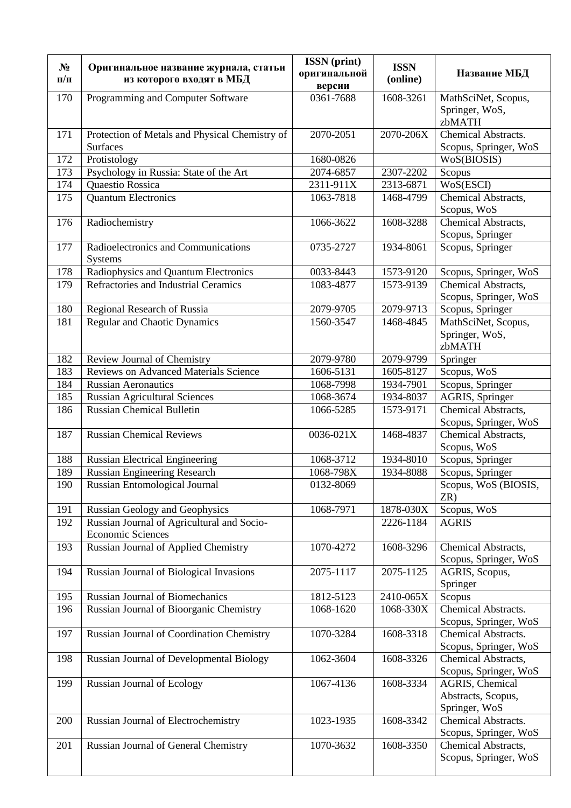| $N_2$<br>$\Pi/\Pi$ | Оригинальное название журнала, статьи<br>из которого входят в МБД | <b>ISSN</b> (print)<br>оригинальной | <b>ISSN</b><br>(online) | Название МБД                                 |
|--------------------|-------------------------------------------------------------------|-------------------------------------|-------------------------|----------------------------------------------|
|                    |                                                                   | версии                              |                         |                                              |
| 170                | Programming and Computer Software                                 | 0361-7688                           | 1608-3261               | MathSciNet, Scopus,                          |
|                    |                                                                   |                                     |                         | Springer, WoS,                               |
|                    |                                                                   | 2070-2051                           | 2070-206X               | zbMATH<br>Chemical Abstracts.                |
| 171                | Protection of Metals and Physical Chemistry of<br><b>Surfaces</b> |                                     |                         | Scopus, Springer, WoS                        |
| 172                | Protistology                                                      | 1680-0826                           |                         | WoS(BIOSIS)                                  |
| 173                | Psychology in Russia: State of the Art                            | 2074-6857                           | 2307-2202               | Scopus                                       |
| 174                | Quaestio Rossica                                                  | 2311-911X                           | 2313-6871               | WoS(ESCI)                                    |
| 175                | <b>Quantum Electronics</b>                                        | 1063-7818                           | 1468-4799               | Chemical Abstracts,                          |
|                    |                                                                   |                                     |                         | Scopus, WoS                                  |
| 176                | Radiochemistry                                                    | 1066-3622                           | 1608-3288               | Chemical Abstracts,                          |
|                    |                                                                   |                                     |                         | Scopus, Springer                             |
| 177                | Radioelectronics and Communications<br><b>Systems</b>             | 0735-2727                           | 1934-8061               | Scopus, Springer                             |
| 178                | Radiophysics and Quantum Electronics                              | 0033-8443                           | 1573-9120               | Scopus, Springer, WoS                        |
| 179                | Refractories and Industrial Ceramics                              | 1083-4877                           | 1573-9139               | Chemical Abstracts,                          |
|                    |                                                                   |                                     |                         | Scopus, Springer, WoS                        |
| 180                | Regional Research of Russia                                       | 2079-9705                           | 2079-9713               | Scopus, Springer                             |
| 181                | <b>Regular and Chaotic Dynamics</b>                               | 1560-3547                           | 1468-4845               | MathSciNet, Scopus,                          |
|                    |                                                                   |                                     |                         | Springer, WoS,<br>zbMATH                     |
| 182                | Review Journal of Chemistry                                       | 2079-9780                           | 2079-9799               | Springer                                     |
| 183                | Reviews on Advanced Materials Science                             | 1606-5131                           | 1605-8127               | Scopus, WoS                                  |
| 184                | <b>Russian Aeronautics</b>                                        | 1068-7998                           | 1934-7901               | Scopus, Springer                             |
| 185                | <b>Russian Agricultural Sciences</b>                              | 1068-3674                           | 1934-8037               | <b>AGRIS</b> , Springer                      |
| 186                | <b>Russian Chemical Bulletin</b>                                  | 1066-5285                           | 1573-9171               | Chemical Abstracts,                          |
|                    |                                                                   |                                     |                         | Scopus, Springer, WoS                        |
| 187                | <b>Russian Chemical Reviews</b>                                   | 0036-021X                           | 1468-4837               | Chemical Abstracts,                          |
|                    |                                                                   |                                     |                         | Scopus, WoS                                  |
| 188                | <b>Russian Electrical Engineering</b>                             | 1068-3712                           | 1934-8010               | Scopus, Springer                             |
| 189                | <b>Russian Engineering Research</b>                               | 1068-798X                           | 1934-8088               | Scopus, Springer                             |
| 190                | Russian Entomological Journal                                     | 0132-8069                           |                         | Scopus, WoS (BIOSIS,<br>ZR)                  |
| 191                | <b>Russian Geology and Geophysics</b>                             | 1068-7971                           | 1878-030X               | Scopus, WoS                                  |
| 192                | Russian Journal of Agricultural and Socio-                        |                                     | 2226-1184               | <b>AGRIS</b>                                 |
|                    | <b>Economic Sciences</b>                                          |                                     |                         |                                              |
| 193                | Russian Journal of Applied Chemistry                              | 1070-4272                           | 1608-3296               | Chemical Abstracts,<br>Scopus, Springer, WoS |
| 194                | Russian Journal of Biological Invasions                           | 2075-1117                           | 2075-1125               | AGRIS, Scopus,                               |
|                    |                                                                   |                                     |                         | Springer                                     |
| 195                | Russian Journal of Biomechanics                                   | 1812-5123                           | 2410-065X               | Scopus                                       |
| 196                | Russian Journal of Bioorganic Chemistry                           | 1068-1620                           | 1068-330X               | Chemical Abstracts.<br>Scopus, Springer, WoS |
| 197                | Russian Journal of Coordination Chemistry                         | 1070-3284                           | 1608-3318               | Chemical Abstracts.                          |
| 198                | Russian Journal of Developmental Biology                          | 1062-3604                           | 1608-3326               | Scopus, Springer, WoS<br>Chemical Abstracts, |
|                    |                                                                   |                                     |                         | Scopus, Springer, WoS                        |
| 199                | <b>Russian Journal of Ecology</b>                                 | 1067-4136                           | 1608-3334               | AGRIS, Chemical                              |
|                    |                                                                   |                                     |                         | Abstracts, Scopus,                           |
|                    |                                                                   |                                     |                         | Springer, WoS                                |
| 200                | Russian Journal of Electrochemistry                               | 1023-1935                           | 1608-3342               | Chemical Abstracts.                          |
|                    |                                                                   |                                     |                         | Scopus, Springer, WoS                        |
| 201                | <b>Russian Journal of General Chemistry</b>                       | 1070-3632                           | 1608-3350               | Chemical Abstracts,                          |
|                    |                                                                   |                                     |                         | Scopus, Springer, WoS                        |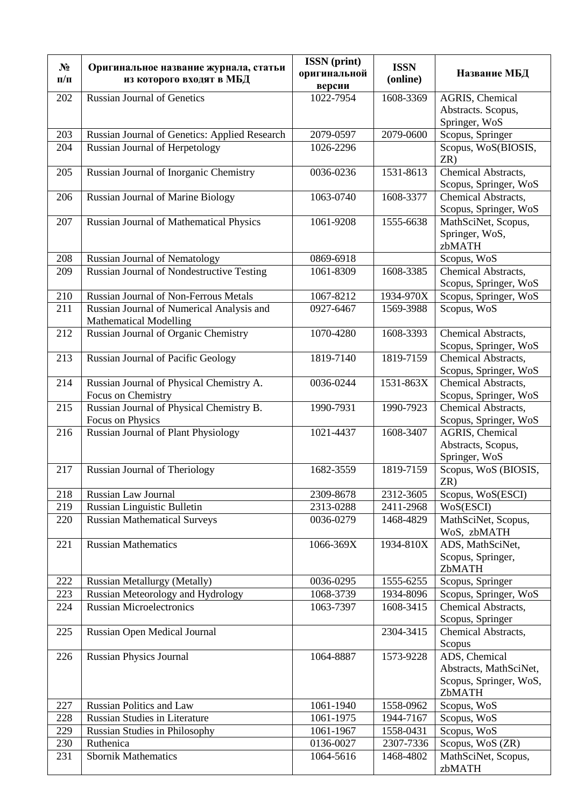| $N_2$      | Оригинальное название журнала, статьи                                      | <b>ISSN</b> (print)<br>оригинальной | <b>ISSN</b>            | Название МБД                                 |
|------------|----------------------------------------------------------------------------|-------------------------------------|------------------------|----------------------------------------------|
| $\Pi/\Pi$  | из которого входят в МБД                                                   | версии                              | (online)               |                                              |
| 202        | <b>Russian Journal of Genetics</b>                                         | 1022-7954                           | 1608-3369              | AGRIS, Chemical                              |
|            |                                                                            |                                     |                        | Abstracts. Scopus,                           |
| 203        | Russian Journal of Genetics: Applied Research                              | 2079-0597                           | 2079-0600              | Springer, WoS<br>Scopus, Springer            |
| 204        | Russian Journal of Herpetology                                             | 1026-2296                           |                        | Scopus, WoS(BIOSIS,                          |
|            |                                                                            |                                     |                        | ZR)                                          |
| 205        | Russian Journal of Inorganic Chemistry                                     | 0036-0236                           | 1531-8613              | Chemical Abstracts,                          |
|            |                                                                            |                                     |                        | Scopus, Springer, WoS                        |
| 206        | Russian Journal of Marine Biology                                          | 1063-0740                           | 1608-3377              | Chemical Abstracts,                          |
|            |                                                                            | 1061-9208                           | 1555-6638              | Scopus, Springer, WoS                        |
| 207        | Russian Journal of Mathematical Physics                                    |                                     |                        | MathSciNet, Scopus,<br>Springer, WoS,        |
|            |                                                                            |                                     |                        | zbMATH                                       |
| 208        | <b>Russian Journal of Nematology</b>                                       | 0869-6918                           |                        | Scopus, WoS                                  |
| 209        | <b>Russian Journal of Nondestructive Testing</b>                           | 1061-8309                           | 1608-3385              | Chemical Abstracts,                          |
|            |                                                                            |                                     |                        | Scopus, Springer, WoS                        |
| 210        | <b>Russian Journal of Non-Ferrous Metals</b>                               | 1067-8212                           | 1934-970X              | Scopus, Springer, WoS                        |
| 211        | Russian Journal of Numerical Analysis and<br><b>Mathematical Modelling</b> | 0927-6467                           | 1569-3988              | Scopus, WoS                                  |
| 212        | Russian Journal of Organic Chemistry                                       | 1070-4280                           | 1608-3393              | Chemical Abstracts,                          |
|            |                                                                            |                                     |                        | Scopus, Springer, WoS                        |
| 213        | <b>Russian Journal of Pacific Geology</b>                                  | 1819-7140                           | 1819-7159              | Chemical Abstracts,                          |
|            |                                                                            |                                     |                        | Scopus, Springer, WoS                        |
| 214        | Russian Journal of Physical Chemistry A.<br>Focus on Chemistry             | 0036-0244                           | 1531-863X              | Chemical Abstracts,                          |
| 215        | Russian Journal of Physical Chemistry B.                                   | 1990-7931                           | 1990-7923              | Scopus, Springer, WoS<br>Chemical Abstracts, |
|            | Focus on Physics                                                           |                                     |                        | Scopus, Springer, WoS                        |
| 216        | <b>Russian Journal of Plant Physiology</b>                                 | 1021-4437                           | 1608-3407              | AGRIS, Chemical                              |
|            |                                                                            |                                     |                        | Abstracts, Scopus,                           |
|            |                                                                            |                                     |                        | Springer, WoS                                |
| 217        | <b>Russian Journal of Theriology</b>                                       | 1682-3559                           | 1819-7159              | Scopus, WoS (BIOSIS,<br>ZR)                  |
| 218        | Russian Law Journal                                                        | 2309-8678                           | 2312-3605              | Scopus, WoS(ESCI)                            |
| 219        | Russian Linguistic Bulletin                                                | 2313-0288                           | 2411-2968              | WoS(ESCI)                                    |
| 220        | <b>Russian Mathematical Surveys</b>                                        | 0036-0279                           | 1468-4829              | MathSciNet, Scopus,                          |
|            |                                                                            |                                     |                        | WoS, zbMATH                                  |
| 221        | <b>Russian Mathematics</b>                                                 | 1066-369X                           | 1934-810X              | ADS, MathSciNet,<br>Scopus, Springer,        |
|            |                                                                            |                                     |                        | ZbMATH                                       |
| 222        | <b>Russian Metallurgy (Metally)</b>                                        | 0036-0295                           | 1555-6255              | Scopus, Springer                             |
| 223        | Russian Meteorology and Hydrology                                          | 1068-3739                           | 1934-8096              | Scopus, Springer, WoS                        |
| 224        | <b>Russian Microelectronics</b>                                            | 1063-7397                           | 1608-3415              | <b>Chemical Abstracts,</b>                   |
|            |                                                                            |                                     |                        | Scopus, Springer                             |
| 225        | <b>Russian Open Medical Journal</b>                                        |                                     | 2304-3415              | Chemical Abstracts,<br>Scopus                |
| 226        | <b>Russian Physics Journal</b>                                             | 1064-8887                           | 1573-9228              | ADS, Chemical                                |
|            |                                                                            |                                     |                        | Abstracts, MathSciNet,                       |
|            |                                                                            |                                     |                        | Scopus, Springer, WoS,                       |
|            |                                                                            |                                     |                        | ZbMATH                                       |
| 227        | <b>Russian Politics and Law</b>                                            | 1061-1940                           | 1558-0962              | Scopus, WoS                                  |
| 228        | Russian Studies in Literature                                              | 1061-1975                           | 1944-7167              | Scopus, WoS                                  |
| 229<br>230 | <b>Russian Studies in Philosophy</b><br>Ruthenica                          | 1061-1967<br>0136-0027              | 1558-0431<br>2307-7336 | Scopus, WoS<br>Scopus, WoS (ZR)              |
| 231        | <b>Sbornik Mathematics</b>                                                 | 1064-5616                           | 1468-4802              | MathSciNet, Scopus,                          |
|            |                                                                            |                                     |                        | zbMATH                                       |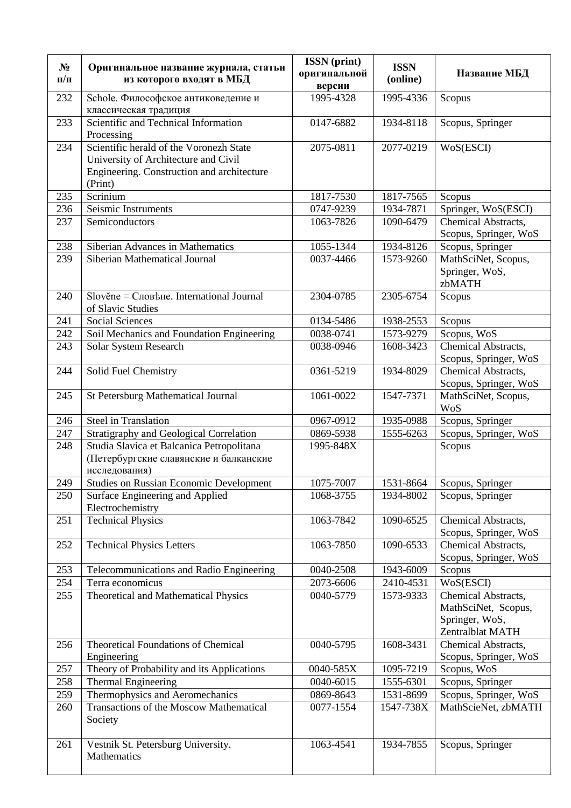| $N_2$<br>$\Pi/\Pi$ | Оригинальное название журнала, статьи<br>из которого входят в МБД                                                                        | <b>ISSN</b> (print)<br>оригинальной<br>версии | <b>ISSN</b><br>(online) | Название МБД                                                                     |
|--------------------|------------------------------------------------------------------------------------------------------------------------------------------|-----------------------------------------------|-------------------------|----------------------------------------------------------------------------------|
| 232                | Schole. Философское антиковедение и<br>классическая традиция                                                                             | 1995-4328                                     | 1995-4336               | Scopus                                                                           |
| 233                | Scientific and Technical Information<br>Processing                                                                                       | 0147-6882                                     | 1934-8118               | Scopus, Springer                                                                 |
| 234                | Scientific herald of the Voronezh State<br>University of Architecture and Civil<br>Engineering. Construction and architecture<br>(Print) | 2075-0811                                     | 2077-0219               | WoS(ESCI)                                                                        |
| 235                | Scrinium                                                                                                                                 | 1817-7530                                     | 1817-7565               | Scopus                                                                           |
| 236                | Seismic Instruments                                                                                                                      | 0747-9239                                     | 1934-7871               | Springer, WoS(ESCI)                                                              |
| 237                | Semiconductors                                                                                                                           | 1063-7826                                     | 1090-6479               | Chemical Abstracts,<br>Scopus, Springer, WoS                                     |
| 238                | Siberian Advances in Mathematics                                                                                                         | 1055-1344                                     | 1934-8126               | Scopus, Springer                                                                 |
| 239                | Siberian Mathematical Journal                                                                                                            | 0037-4466                                     | 1573-9260               | MathSciNet, Scopus,<br>Springer, WoS,<br>zbMATH                                  |
| 240                | $Slověne = CJOB$ ане. International Journal<br>of Slavic Studies                                                                         | 2304-0785                                     | 2305-6754               | Scopus                                                                           |
| 241                | <b>Social Sciences</b>                                                                                                                   | 0134-5486                                     | 1938-2553               | Scopus                                                                           |
| 242                | Soil Mechanics and Foundation Engineering                                                                                                | 0038-0741                                     | 1573-9279               | Scopus, WoS                                                                      |
| 243                | Solar System Research                                                                                                                    | 0038-0946                                     | 1608-3423               | Chemical Abstracts,<br>Scopus, Springer, WoS                                     |
| 244                | Solid Fuel Chemistry                                                                                                                     | 0361-5219                                     | 1934-8029               | Chemical Abstracts,<br>Scopus, Springer, WoS                                     |
| 245                | <b>St Petersburg Mathematical Journal</b>                                                                                                | 1061-0022                                     | 1547-7371               | MathSciNet, Scopus,<br><b>WoS</b>                                                |
| 246                | <b>Steel in Translation</b>                                                                                                              | 0967-0912                                     | 1935-0988               | Scopus, Springer                                                                 |
| 247                | Stratigraphy and Geological Correlation                                                                                                  | 0869-5938                                     | 1555-6263               | Scopus, Springer, WoS                                                            |
| 248                | Studia Slavica et Balcanica Petropolitana<br>(Петербургские славянские и балканские<br>исследования)                                     | 1995-848X                                     |                         | Scopus                                                                           |
| 249                | <b>Studies on Russian Economic Development</b>                                                                                           | 1075-7007                                     | 1531-8664               | Scopus, Springer                                                                 |
| 250                | Surface Engineering and Applied<br>Electrochemistry                                                                                      | 1068-3755                                     | 1934-8002               | Scopus, Springer                                                                 |
| 251                | <b>Technical Physics</b>                                                                                                                 | 1063-7842                                     | 1090-6525               | Chemical Abstracts,<br>Scopus, Springer, WoS                                     |
| 252                | <b>Technical Physics Letters</b>                                                                                                         | 1063-7850                                     | 1090-6533               | Chemical Abstracts,<br>Scopus, Springer, WoS                                     |
| 253                | Telecommunications and Radio Engineering                                                                                                 | 0040-2508                                     | 1943-6009               | Scopus                                                                           |
| 254                | Terra economicus                                                                                                                         | 2073-6606                                     | 2410-4531               | WoS(ESCI)                                                                        |
| 255                | Theoretical and Mathematical Physics                                                                                                     | 0040-5779                                     | 1573-9333               | Chemical Abstracts,<br>MathSciNet, Scopus,<br>Springer, WoS,<br>Zentralblat MATH |
| 256                | Theoretical Foundations of Chemical<br>Engineering                                                                                       | 0040-5795                                     | 1608-3431               | Chemical Abstracts,<br>Scopus, Springer, WoS                                     |
| 257                | Theory of Probability and its Applications                                                                                               | 0040-585X                                     | 1095-7219               | Scopus, WoS                                                                      |
| 258                | Thermal Engineering                                                                                                                      | 0040-6015                                     | 1555-6301               | Scopus, Springer                                                                 |
| 259                | Thermophysics and Aeromechanics                                                                                                          | 0869-8643                                     | 1531-8699               | Scopus, Springer, WoS                                                            |
| 260                | Transactions of the Moscow Mathematical<br>Society                                                                                       | 0077-1554                                     | 1547-738X               | MathScieNet, zbMATH                                                              |
| 261                | Vestnik St. Petersburg University.<br>Mathematics                                                                                        | 1063-4541                                     | 1934-7855               | Scopus, Springer                                                                 |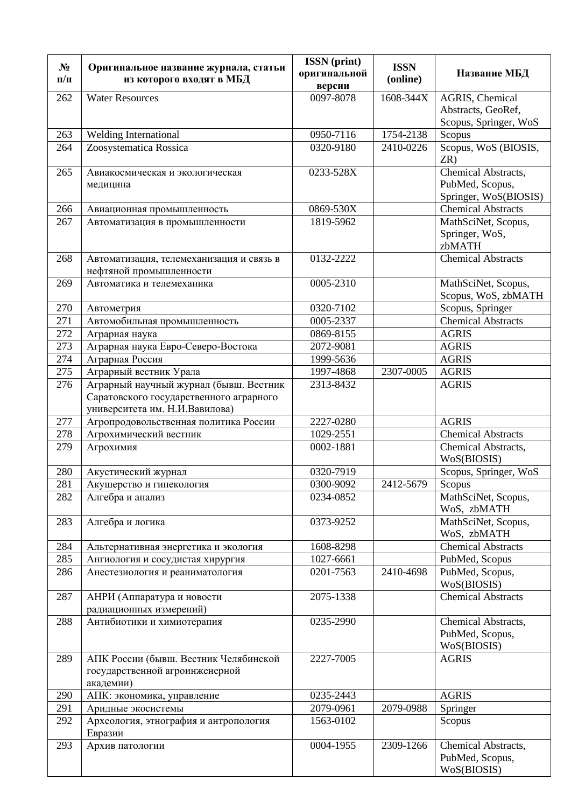| $N_2$<br>$\Pi/\Pi$ | Оригинальное название журнала, статьи<br>из которого входят в МБД   | <b>ISSN</b> (print)<br>оригинальной<br>версии | <b>ISSN</b><br>(online) | Название МБД                            |
|--------------------|---------------------------------------------------------------------|-----------------------------------------------|-------------------------|-----------------------------------------|
| 262                | <b>Water Resources</b>                                              | 0097-8078                                     | 1608-344X               | AGRIS, Chemical                         |
|                    |                                                                     |                                               |                         | Abstracts, GeoRef,                      |
|                    |                                                                     |                                               |                         | Scopus, Springer, WoS                   |
| 263                | Welding International                                               | 0950-7116                                     | 1754-2138               | Scopus                                  |
| 264                | Zoosystematica Rossica                                              | 0320-9180                                     | 2410-0226               | Scopus, WoS (BIOSIS,<br>ZR)             |
| 265                |                                                                     | 0233-528X                                     |                         | Chemical Abstracts,                     |
|                    | Авиакосмическая и экологическая                                     |                                               |                         | PubMed, Scopus,                         |
|                    | медицина                                                            |                                               |                         | Springer, WoS(BIOSIS)                   |
| 266                |                                                                     | 0869-530X                                     |                         | <b>Chemical Abstracts</b>               |
| 267                | Авиационная промышленность                                          | 1819-5962                                     |                         |                                         |
|                    | Автоматизация в промышленности                                      |                                               |                         | MathSciNet, Scopus,<br>Springer, WoS,   |
|                    |                                                                     |                                               |                         | zbMATH                                  |
| 268                |                                                                     | 0132-2222                                     |                         | <b>Chemical Abstracts</b>               |
|                    | Автоматизация, телемеханизация и связь в<br>нефтяной промышленности |                                               |                         |                                         |
| 269                |                                                                     | 0005-2310                                     |                         |                                         |
|                    | Автоматика и телемеханика                                           |                                               |                         | MathSciNet, Scopus,                     |
|                    |                                                                     | 0320-7102                                     |                         | Scopus, WoS, zbMATH<br>Scopus, Springer |
| 270<br>271         | Автометрия                                                          |                                               |                         | <b>Chemical Abstracts</b>               |
|                    | Автомобильная промышленность                                        | 0005-2337                                     |                         |                                         |
| 272                | Аграрная наука                                                      | 0869-8155                                     |                         | <b>AGRIS</b>                            |
| 273                | Аграрная наука Евро-Северо-Востока                                  | 2072-9081                                     |                         | <b>AGRIS</b>                            |
| 274                | Аграрная Россия                                                     | 1999-5636                                     |                         | <b>AGRIS</b>                            |
| 275                | Аграрный вестник Урала                                              | 1997-4868                                     | 2307-0005               | <b>AGRIS</b>                            |
| 276                | Аграрный научный журнал (бывш. Вестник                              | 2313-8432                                     |                         | <b>AGRIS</b>                            |
|                    | Саратовского государственного аграрного                             |                                               |                         |                                         |
|                    | университета им. Н.И.Вавилова)                                      |                                               |                         |                                         |
| 277                | Агропродовольственная политика России                               | 2227-0280                                     |                         | <b>AGRIS</b>                            |
| 278                | Агрохимический вестник                                              | 1029-2551                                     |                         | <b>Chemical Abstracts</b>               |
| 279                | Агрохимия                                                           | 0002-1881                                     |                         | Chemical Abstracts,<br>WoS(BIOSIS)      |
| 280                | Акустический журнал                                                 | 0320-7919                                     |                         | Scopus, Springer, WoS                   |
| 281                | Акушерство и гинекология                                            | 0300-9092                                     | 2412-5679               | Scopus                                  |
| 282                | Алгебра и анализ                                                    | 0234-0852                                     |                         | MathSciNet, Scopus,                     |
|                    |                                                                     |                                               |                         | WoS, zbMATH                             |
| 283                | Алгебра и логика                                                    | 0373-9252                                     |                         | MathSciNet, Scopus,<br>WoS, zbMATH      |
| 284                | Альтернативная энергетика и экология                                | 1608-8298                                     |                         | <b>Chemical Abstracts</b>               |
| 285                | Ангиология и сосудистая хирургия                                    | 1027-6661                                     |                         | PubMed, Scopus                          |
| 286                | Анестезиология и реаниматология                                     | 0201-7563                                     | 2410-4698               | PubMed, Scopus,                         |
|                    |                                                                     |                                               |                         | WoS(BIOSIS)                             |
| 287                | АНРИ (Аппаратура и новости                                          | 2075-1338                                     |                         | <b>Chemical Abstracts</b>               |
|                    | радиационных измерений)                                             |                                               |                         |                                         |
| 288                | Антибиотики и химиотерапия                                          | 0235-2990                                     |                         | Chemical Abstracts,                     |
|                    |                                                                     |                                               |                         | PubMed, Scopus,                         |
|                    |                                                                     |                                               |                         | WoS(BIOSIS)                             |
| 289                | АПК России (бывш. Вестник Челябинской                               | 2227-7005                                     |                         | <b>AGRIS</b>                            |
|                    | государственной агроинженерной<br>академии)                         |                                               |                         |                                         |
| 290                | АПК: экономика, управление                                          | 0235-2443                                     |                         | <b>AGRIS</b>                            |
| 291                | Аридные экосистемы                                                  | 2079-0961                                     | 2079-0988               | Springer                                |
| 292                | Археология, этнография и антропология                               | 1563-0102                                     |                         | Scopus                                  |
|                    | Евразии                                                             |                                               |                         |                                         |
| 293                | Архив патологии                                                     | 0004-1955                                     | 2309-1266               | Chemical Abstracts,                     |
|                    |                                                                     |                                               |                         | PubMed, Scopus,                         |
|                    |                                                                     |                                               |                         | WoS(BIOSIS)                             |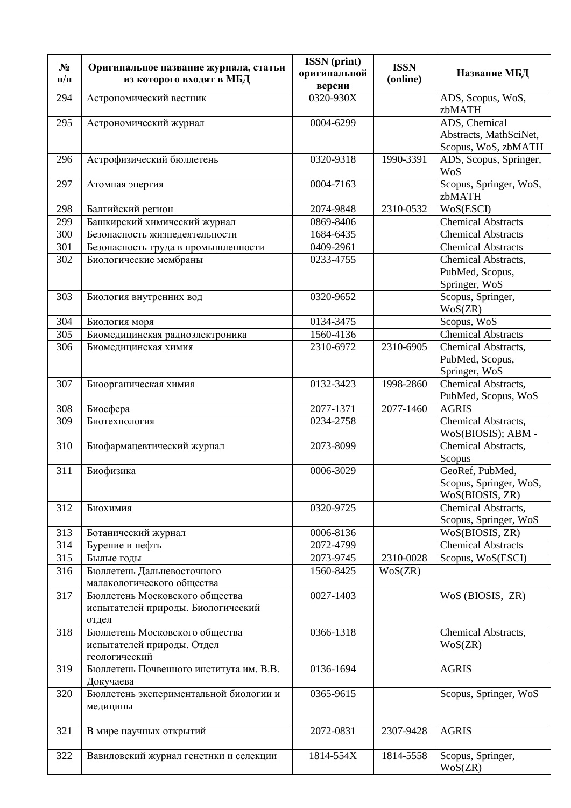| $N_2$<br>$\Pi/\Pi$ | Оригинальное название журнала, статьи<br>из которого входят в МБД             | <b>ISSN</b> (print)<br>оригинальной<br>версии | <b>ISSN</b><br>(online) | Название МБД                                                   |
|--------------------|-------------------------------------------------------------------------------|-----------------------------------------------|-------------------------|----------------------------------------------------------------|
| 294                | Астрономический вестник                                                       | $0320 - 930X$                                 |                         | ADS, Scopus, WoS,<br>zbMATH                                    |
| 295                | Астрономический журнал                                                        | 0004-6299                                     |                         | ADS, Chemical<br>Abstracts, MathSciNet,<br>Scopus, WoS, zbMATH |
| 296                | Астрофизический бюллетень                                                     | 0320-9318                                     | 1990-3391               | ADS, Scopus, Springer,<br><b>WoS</b>                           |
| 297                | Атомная энергия                                                               | 0004-7163                                     |                         | Scopus, Springer, WoS,<br>zbMATH                               |
| 298                | Балтийский регион                                                             | 2074-9848                                     | 2310-0532               | WoS(ESCI)                                                      |
| 299                | Башкирский химический журнал                                                  | 0869-8406                                     |                         | <b>Chemical Abstracts</b>                                      |
| 300                | Безопасность жизнедеятельности                                                | 1684-6435                                     |                         | <b>Chemical Abstracts</b>                                      |
| 301                | Безопасность труда в промышленности                                           | 0409-2961                                     |                         | <b>Chemical Abstracts</b>                                      |
| 302                | Биологические мембраны                                                        | 0233-4755                                     |                         | Chemical Abstracts,<br>PubMed, Scopus,<br>Springer, WoS        |
| 303                | Биология внутренних вод                                                       | 0320-9652                                     |                         | Scopus, Springer,<br>WoS(ZR)                                   |
| 304                | Биология моря                                                                 | 0134-3475                                     |                         | Scopus, WoS                                                    |
| 305                | Биомедицинская радиоэлектроника                                               | 1560-4136                                     |                         | <b>Chemical Abstracts</b>                                      |
| 306                | Биомедицинская химия                                                          | 2310-6972                                     | 2310-6905               | Chemical Abstracts,<br>PubMed, Scopus,<br>Springer, WoS        |
| 307                | Биоорганическая химия                                                         | 0132-3423                                     | 1998-2860               | Chemical Abstracts,<br>PubMed, Scopus, WoS                     |
| 308                | Биосфера                                                                      | 2077-1371                                     | 2077-1460               | <b>AGRIS</b>                                                   |
| 309                | Биотехнология                                                                 | 0234-2758                                     |                         | Chemical Abstracts,<br>WoS(BIOSIS); ABM -                      |
| 310                | Биофармацевтический журнал                                                    | 2073-8099                                     |                         | Chemical Abstracts,<br>Scopus                                  |
| 311                | Биофизика                                                                     | 0006-3029                                     |                         | GeoRef, PubMed,<br>Scopus, Springer, WoS,<br>WoS(BIOSIS, ZR)   |
| 312                | Биохимия                                                                      | 0320-9725                                     |                         | Chemical Abstracts,<br>Scopus, Springer, WoS                   |
| 313                | Ботанический журнал                                                           | 0006-8136                                     |                         | WoS(BIOSIS, ZR)                                                |
| 314                | Бурение и нефть                                                               | 2072-4799                                     |                         | <b>Chemical Abstracts</b>                                      |
| 315                | Былые годы                                                                    | 2073-9745                                     | 2310-0028               | Scopus, WoS(ESCI)                                              |
| 316                | Бюллетень Дальневосточного<br>малакологического общества                      | 1560-8425                                     | WoS(ZR)                 |                                                                |
| 317                | Бюллетень Московского общества<br>испытателей природы. Биологический<br>отдел | 0027-1403                                     |                         | WoS (BIOSIS, ZR)                                               |
| 318                | Бюллетень Московского общества<br>испытателей природы. Отдел<br>геологический | 0366-1318                                     |                         | Chemical Abstracts,<br>WoS(ZR)                                 |
| 319                | Бюллетень Почвенного института им. В.В.<br>Докучаева                          | 0136-1694                                     |                         | <b>AGRIS</b>                                                   |
| 320                | Бюллетень экспериментальной биологии и<br>медицины                            | 0365-9615                                     |                         | Scopus, Springer, WoS                                          |
| 321                | В мире научных открытий                                                       | 2072-0831                                     | 2307-9428               | <b>AGRIS</b>                                                   |
| 322                | Вавиловский журнал генетики и селекции                                        | 1814-554X                                     | 1814-5558               | Scopus, Springer,<br>WoS(ZR)                                   |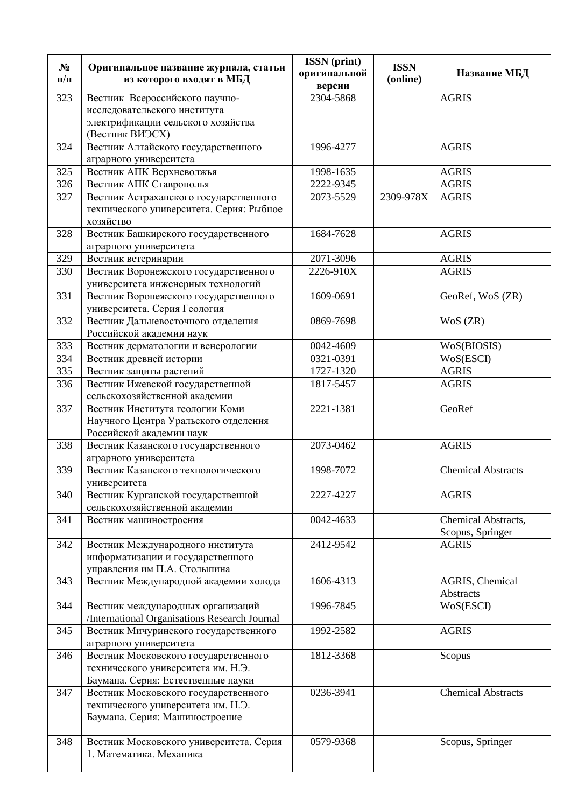| $N_2$<br>$\Pi/\Pi$ | Оригинальное название журнала, статьи<br>из которого входят в МБД   | <b>ISSN</b> (print)<br>оригинальной<br>версии | <b>ISSN</b><br>(online) | Название МБД              |
|--------------------|---------------------------------------------------------------------|-----------------------------------------------|-------------------------|---------------------------|
| 323                | Вестник Всероссийского научно-                                      | 2304-5868                                     |                         | <b>AGRIS</b>              |
|                    | исследовательского института                                        |                                               |                         |                           |
|                    | электрификации сельского хозяйства                                  |                                               |                         |                           |
|                    | (Вестник ВИЭСХ)                                                     |                                               |                         |                           |
| 324                | Вестник Алтайского государственного                                 | 1996-4277                                     |                         | <b>AGRIS</b>              |
|                    | аграрного университета                                              |                                               |                         |                           |
| 325                | Вестник АПК Верхневолжья                                            | 1998-1635                                     |                         | <b>AGRIS</b>              |
| 326                | Вестник АПК Ставрополья                                             | 2222-9345                                     |                         | <b>AGRIS</b>              |
| 327                | Вестник Астраханского государственного                              | 2073-5529                                     | 2309-978X               | <b>AGRIS</b>              |
|                    | технического университета. Серия: Рыбное                            |                                               |                         |                           |
|                    | хозяйство                                                           |                                               |                         |                           |
| 328                | Вестник Башкирского государственного                                | 1684-7628                                     |                         | <b>AGRIS</b>              |
|                    | аграрного университета                                              |                                               |                         |                           |
| 329                | Вестник ветеринарии                                                 | 2071-3096                                     |                         | <b>AGRIS</b>              |
| 330                | Вестник Воронежского государственного                               | 2226-910X                                     |                         | <b>AGRIS</b>              |
|                    | университета инженерных технологий                                  |                                               |                         |                           |
| 331                | Вестник Воронежского государственного                               | 1609-0691                                     |                         | GeoRef, WoS (ZR)          |
|                    | университета. Серия Геология                                        |                                               |                         |                           |
| 332                | Вестник Дальневосточного отделения                                  | 0869-7698                                     |                         | WoS (ZR)                  |
|                    | Российской академии наук                                            |                                               |                         |                           |
| 333                | Вестник дерматологии и венерологии                                  | 0042-4609                                     |                         | WoS(BIOSIS)               |
| 334                | Вестник древней истории                                             | 0321-0391                                     |                         | WoS(ESCI)                 |
| 335                | Вестник защиты растений                                             | 1727-1320                                     |                         | <b>AGRIS</b>              |
| 336                | Вестник Ижевской государственной                                    | 1817-5457                                     |                         | <b>AGRIS</b>              |
|                    | сельскохозяйственной академии                                       |                                               |                         |                           |
| 337                | Вестник Института геологии Коми                                     | 2221-1381                                     |                         | GeoRef                    |
|                    | Научного Центра Уральского отделения                                |                                               |                         |                           |
|                    | Российской академии наук                                            |                                               |                         |                           |
| 338                | Вестник Казанского государственного                                 | 2073-0462                                     |                         | <b>AGRIS</b>              |
|                    | аграрного университета                                              |                                               |                         |                           |
| 339                | Вестник Казанского технологического                                 | 1998-7072                                     |                         | <b>Chemical Abstracts</b> |
|                    | университета                                                        | 2227-4227                                     |                         |                           |
| 340                | Вестник Курганской государственной<br>сельскохозяйственной академии |                                               |                         | <b>AGRIS</b>              |
| 341                | Вестник машиностроения                                              | 0042-4633                                     |                         | Chemical Abstracts,       |
|                    |                                                                     |                                               |                         | Scopus, Springer          |
| 342                | Вестник Международного института                                    | 2412-9542                                     |                         | <b>AGRIS</b>              |
|                    | информатизации и государственного                                   |                                               |                         |                           |
|                    | управления им П.А. Столыпина                                        |                                               |                         |                           |
| 343                | Вестник Международной академии холода                               | 1606-4313                                     |                         | AGRIS, Chemical           |
|                    |                                                                     |                                               |                         | Abstracts                 |
| 344                | Вестник международных организаций                                   | 1996-7845                                     |                         | WoS(ESCI)                 |
|                    | /International Organisations Research Journal                       |                                               |                         |                           |
| 345                | Вестник Мичуринского государственного                               | 1992-2582                                     |                         | <b>AGRIS</b>              |
|                    | аграрного университета                                              |                                               |                         |                           |
| 346                | Вестник Московского государственного                                | 1812-3368                                     |                         | Scopus                    |
|                    | технического университета им. Н.Э.                                  |                                               |                         |                           |
|                    | Баумана. Серия: Естественные науки                                  |                                               |                         |                           |
| 347                | Вестник Московского государственного                                | 0236-3941                                     |                         | <b>Chemical Abstracts</b> |
|                    | технического университета им. Н.Э.                                  |                                               |                         |                           |
|                    | Баумана. Серия: Машиностроение                                      |                                               |                         |                           |
|                    |                                                                     |                                               |                         |                           |
| 348                | Вестник Московского университета. Серия                             | 0579-9368                                     |                         | Scopus, Springer          |
|                    | 1. Математика. Механика                                             |                                               |                         |                           |
|                    |                                                                     |                                               |                         |                           |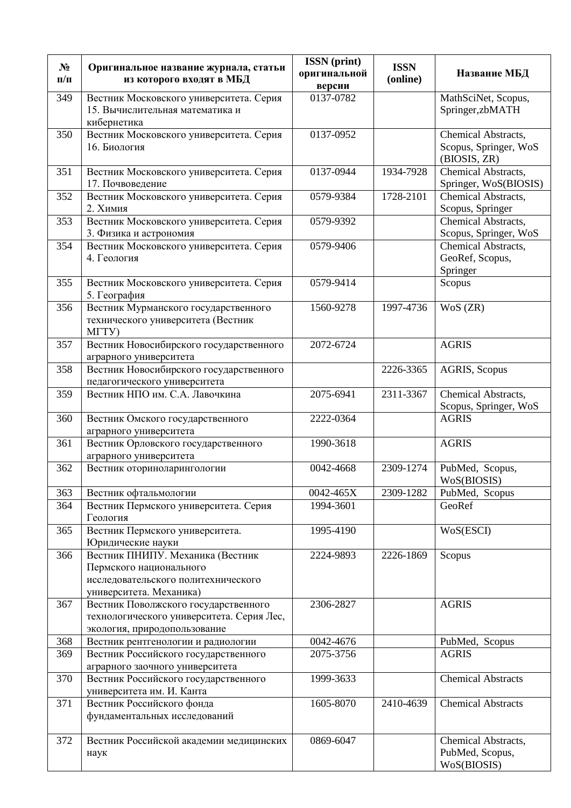| $N_2$<br>$\Pi/\Pi$ | Оригинальное название журнала, статьи<br>из которого входят в МБД                                                             | <b>ISSN</b> (print)<br>оригинальной<br>версии | <b>ISSN</b><br>(online) | Название МБД                                                 |
|--------------------|-------------------------------------------------------------------------------------------------------------------------------|-----------------------------------------------|-------------------------|--------------------------------------------------------------|
| 349                | Вестник Московского университета. Серия<br>15. Вычислительная математика и<br>кибернетика                                     | 0137-0782                                     |                         | MathSciNet, Scopus,<br>Springer, zbMATH                      |
| 350                | Вестник Московского университета. Серия<br>16. Биология                                                                       | 0137-0952                                     |                         | Chemical Abstracts,<br>Scopus, Springer, WoS<br>(BIOSIS, ZR) |
| 351                | Вестник Московского университета. Серия<br>17. Почвоведение                                                                   | 0137-0944                                     | 1934-7928               | Chemical Abstracts,<br>Springer, WoS(BIOSIS)                 |
| 352                | Вестник Московского университета. Серия<br>2. Химия                                                                           | 0579-9384                                     | 1728-2101               | Chemical Abstracts,<br>Scopus, Springer                      |
| 353                | Вестник Московского университета. Серия<br>3. Физика и астрономия                                                             | 0579-9392                                     |                         | Chemical Abstracts,<br>Scopus, Springer, WoS                 |
| 354                | Вестник Московского университета. Серия<br>4. Геология                                                                        | 0579-9406                                     |                         | Chemical Abstracts,<br>GeoRef, Scopus,<br>Springer           |
| 355                | Вестник Московского университета. Серия<br>5. География                                                                       | 0579-9414                                     |                         | Scopus                                                       |
| 356                | Вестник Мурманского государственного<br>технического университета (Вестник<br>MTTY)                                           | 1560-9278                                     | 1997-4736               | WoS (ZR)                                                     |
| 357                | Вестник Новосибирского государственного<br>аграрного университета                                                             | 2072-6724                                     |                         | <b>AGRIS</b>                                                 |
| 358                | Вестник Новосибирского государственного<br>педагогического университета                                                       |                                               | 2226-3365               | AGRIS, Scopus                                                |
| 359                | Вестник НПО им. С.А. Лавочкина                                                                                                | 2075-6941                                     | 2311-3367               | Chemical Abstracts,<br>Scopus, Springer, WoS                 |
| 360                | Вестник Омского государственного<br>аграрного университета                                                                    | 2222-0364                                     |                         | <b>AGRIS</b>                                                 |
| 361                | Вестник Орловского государственного<br>аграрного университета                                                                 | 1990-3618                                     |                         | <b>AGRIS</b>                                                 |
| 362                | Вестник оториноларингологии                                                                                                   | 0042-4668                                     | 2309-1274               | PubMed, Scopus,<br>WoS(BIOSIS)                               |
| 363                | Вестник офтальмологии                                                                                                         | 0042-465X                                     | 2309-1282               | PubMed, Scopus                                               |
| 364                | Вестник Пермского университета. Серия<br>Геология                                                                             | 1994-3601                                     |                         | GeoRef                                                       |
| 365                | Вестник Пермского университета.<br>Юридические науки                                                                          | 1995-4190                                     |                         | WoS(ESCI)                                                    |
| 366                | Вестник ПНИПУ. Механика (Вестник<br>Пермского национального<br>исследовательского политехнического<br>университета. Механика) | 2224-9893                                     | 2226-1869               | Scopus                                                       |
| 367                | Вестник Поволжского государственного<br>технологического университета. Серия Лес,<br>экология, природопользование             | 2306-2827                                     |                         | <b>AGRIS</b>                                                 |
| 368                | Вестник рентгенологии и радиологии                                                                                            | 0042-4676                                     |                         | PubMed, Scopus                                               |
| 369                | Вестник Российского государственного<br>аграрного заочного университета                                                       | 2075-3756                                     |                         | <b>AGRIS</b>                                                 |
| 370                | Вестник Российского государственного<br>университета им. И. Канта                                                             | 1999-3633                                     |                         | <b>Chemical Abstracts</b>                                    |
| 371                | Вестник Российского фонда<br>фундаментальных исследований                                                                     | 1605-8070                                     | 2410-4639               | <b>Chemical Abstracts</b>                                    |
| 372                | Вестник Российской академии медицинских<br>наук                                                                               | 0869-6047                                     |                         | Chemical Abstracts,<br>PubMed, Scopus,<br>WoS(BIOSIS)        |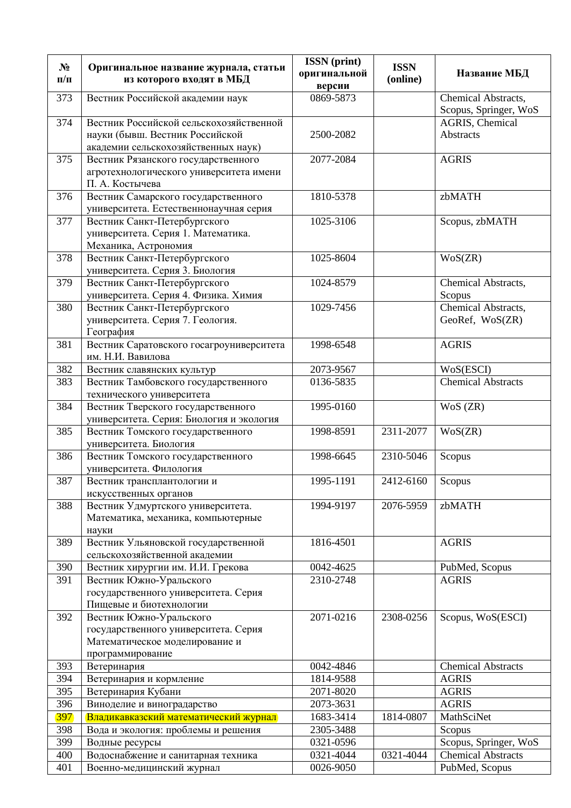| $N_2$      | Оригинальное название журнала, статьи                                | <b>ISSN</b> (print)<br>оригинальной | <b>ISSN</b> | Название МБД                                 |
|------------|----------------------------------------------------------------------|-------------------------------------|-------------|----------------------------------------------|
| $\Pi/\Pi$  | из которого входят в МБД                                             | версии                              | (online)    |                                              |
| 373        | Вестник Российской академии наук                                     | 0869-5873                           |             | Chemical Abstracts,<br>Scopus, Springer, WoS |
| 374        | Вестник Российской сельскохозяйственной                              |                                     |             | AGRIS, Chemical                              |
|            | науки (бывш. Вестник Российской                                      | 2500-2082                           |             | <b>Abstracts</b>                             |
|            | академии сельскохозяйственных наук)                                  |                                     |             |                                              |
| 375        | Вестник Рязанского государственного                                  | 2077-2084                           |             | <b>AGRIS</b>                                 |
|            | агротехнологического университета имени<br>П. А. Костычева           |                                     |             |                                              |
| 376        | Вестник Самарского государственного                                  | 1810-5378                           |             | zbMATH                                       |
|            | университета. Естественнонаучная серия                               |                                     |             |                                              |
| 377        | Вестник Санкт-Петербургского                                         | 1025-3106                           |             | Scopus, zbMATH                               |
|            | университета. Серия 1. Математика.                                   |                                     |             |                                              |
|            | Механика, Астрономия                                                 |                                     |             |                                              |
| 378        | Вестник Санкт-Петербургского                                         | 1025-8604                           |             | WoS(ZR)                                      |
|            | университета. Серия 3. Биология                                      |                                     |             |                                              |
| 379        | Вестник Санкт-Петербургского                                         | 1024-8579                           |             | Chemical Abstracts,                          |
| 380        | университета. Серия 4. Физика. Химия<br>Вестник Санкт-Петербургского | 1029-7456                           |             | Scopus<br>Chemical Abstracts,                |
|            | университета. Серия 7. Геология.                                     |                                     |             | GeoRef, WoS(ZR)                              |
|            | География                                                            |                                     |             |                                              |
| 381        | Вестник Саратовского госагроуниверситета                             | 1998-6548                           |             | <b>AGRIS</b>                                 |
|            | им. Н.И. Вавилова                                                    |                                     |             |                                              |
| 382        | Вестник славянских культур                                           | 2073-9567                           |             | WoS(ESCI)                                    |
| 383        | Вестник Тамбовского государственного                                 | 0136-5835                           |             | <b>Chemical Abstracts</b>                    |
|            | технического университета                                            |                                     |             |                                              |
| 384        | Вестник Тверского государственного                                   | 1995-0160                           |             | WoS (ZR)                                     |
| 385        | университета. Серия: Биология и экология                             | 1998-8591                           | 2311-2077   | WoS(ZR)                                      |
|            | Вестник Томского государственного<br>университета. Биология          |                                     |             |                                              |
| 386        | Вестник Томского государственного                                    | 1998-6645                           | 2310-5046   | Scopus                                       |
|            | университета. Филология                                              |                                     |             |                                              |
| 387        | Вестник трансплантологии и                                           | 1995-1191                           | 2412-6160   | Scopus                                       |
|            | искусственных органов                                                |                                     |             |                                              |
| 388        | Вестник Удмуртского университета.                                    | 1994-9197                           | 2076-5959   | zbMATH                                       |
|            | Математика, механика, компьютерные                                   |                                     |             |                                              |
|            | науки                                                                |                                     |             |                                              |
| 389        | Вестник Ульяновской государственной<br>сельскохозяйственной академии | 1816-4501                           |             | <b>AGRIS</b>                                 |
| 390        | Вестник хирургии им. И.И. Грекова                                    | 0042-4625                           |             | PubMed, Scopus                               |
| 391        | Вестник Южно-Уральского                                              | 2310-2748                           |             | <b>AGRIS</b>                                 |
|            | государственного университета. Серия                                 |                                     |             |                                              |
|            | Пищевые и биотехнологии                                              |                                     |             |                                              |
| 392        | Вестник Южно-Уральского                                              | 2071-0216                           | 2308-0256   | Scopus, WoS(ESCI)                            |
|            | государственного университета. Серия                                 |                                     |             |                                              |
|            | Математическое моделирование и                                       |                                     |             |                                              |
|            | программирование                                                     | 0042-4846                           |             |                                              |
| 393<br>394 | Ветеринария<br>Ветеринария и кормление                               | 1814-9588                           |             | <b>Chemical Abstracts</b><br><b>AGRIS</b>    |
| 395        | Ветеринария Кубани                                                   | 2071-8020                           |             | <b>AGRIS</b>                                 |
| 396        | Виноделие и виноградарство                                           | 2073-3631                           |             | <b>AGRIS</b>                                 |
| 397        | Владикавказский математический журнал                                | 1683-3414                           | 1814-0807   | MathSciNet                                   |
| 398        | Вода и экология: проблемы и решения                                  | 2305-3488                           |             | Scopus                                       |
| 399        | Водные ресурсы                                                       | 0321-0596                           |             | Scopus, Springer, WoS                        |
| 400        | Водоснабжение и санитарная техника                                   | 0321-4044                           | 0321-4044   | <b>Chemical Abstracts</b>                    |
| 401        | Военно-медицинский журнал                                            | 0026-9050                           |             | PubMed, Scopus                               |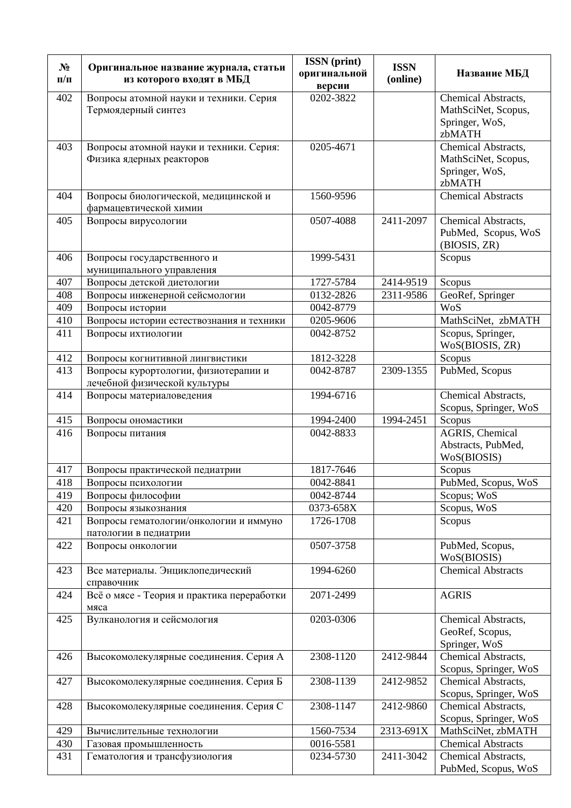| $N_2$<br>$\Pi/\Pi$ | Оригинальное название журнала, статьи<br>из которого входят в МБД    | <b>ISSN</b> (print)<br>оригинальной<br>версии | <b>ISSN</b><br>(online) | Название МБД                                                           |
|--------------------|----------------------------------------------------------------------|-----------------------------------------------|-------------------------|------------------------------------------------------------------------|
| 402                | Вопросы атомной науки и техники. Серия<br>Термоядерный синтез        | $\overline{0202 - 3822}$                      |                         | Chemical Abstracts,<br>MathSciNet, Scopus,<br>Springer, WoS,<br>zbMATH |
| 403                | Вопросы атомной науки и техники. Серия:<br>Физика ядерных реакторов  | 0205-4671                                     |                         | Chemical Abstracts,<br>MathSciNet, Scopus,<br>Springer, WoS,<br>zbMATH |
| 404                | Вопросы биологической, медицинской и<br>фармацевтической химии       | 1560-9596                                     |                         | <b>Chemical Abstracts</b>                                              |
| 405                | Вопросы вирусологии                                                  | 0507-4088                                     | 2411-2097               | Chemical Abstracts,<br>PubMed, Scopus, WoS<br>(BIOSIS, ZR)             |
| 406                | Вопросы государственного и<br>муниципального управления              | 1999-5431                                     |                         | Scopus                                                                 |
| 407                | Вопросы детской диетологии                                           | 1727-5784                                     | 2414-9519               | Scopus                                                                 |
| 408                | Вопросы инженерной сейсмологии                                       | 0132-2826                                     | 2311-9586               | GeoRef, Springer                                                       |
| 409                | Вопросы истории                                                      | 0042-8779                                     |                         | WoS                                                                    |
| 410                | Вопросы истории естествознания и техники                             | 0205-9606                                     |                         | MathSciNet, zbMATH                                                     |
| 411                | Вопросы ихтиологии                                                   | 0042-8752                                     |                         | Scopus, Springer,<br>WoS(BIOSIS, ZR)                                   |
| 412                | Вопросы когнитивной лингвистики                                      | 1812-3228                                     |                         | Scopus                                                                 |
| 413                | Вопросы курортологии, физиотерапии и<br>лечебной физической культуры | 0042-8787                                     | 2309-1355               | PubMed, Scopus                                                         |
| 414                | Вопросы материаловедения                                             | 1994-6716                                     |                         | Chemical Abstracts,<br>Scopus, Springer, WoS                           |
| 415                | Вопросы ономастики                                                   | 1994-2400                                     | 1994-2451               | Scopus                                                                 |
| 416                | Вопросы питания                                                      | 0042-8833                                     |                         | AGRIS, Chemical<br>Abstracts, PubMed,<br>WoS(BIOSIS)                   |
| 417                | Вопросы практической педиатрии                                       | 1817-7646                                     |                         | Scopus                                                                 |
| 418                | Вопросы психологии                                                   | 0042-8841                                     |                         | PubMed, Scopus, WoS                                                    |
| 419                | Вопросы философии                                                    | 0042-8744                                     |                         | Scopus; WoS                                                            |
| 420                | Вопросы языкознания                                                  | 0373-658X                                     |                         | Scopus, WoS                                                            |
| 421                | Вопросы гематологии/онкологии и иммуно<br>патологии в педиатрии      | 1726-1708                                     |                         | Scopus                                                                 |
| 422                | Вопросы онкологии                                                    | 0507-3758                                     |                         | PubMed, Scopus,<br>WoS(BIOSIS)                                         |
| 423                | Все материалы. Энциклопедический<br>справочник                       | 1994-6260                                     |                         | <b>Chemical Abstracts</b>                                              |
| 424                | Всё о мясе - Теория и практика переработки<br>мяса                   | 2071-2499                                     |                         | <b>AGRIS</b>                                                           |
| 425                | Вулканология и сейсмология                                           | 0203-0306                                     |                         | Chemical Abstracts,<br>GeoRef, Scopus,<br>Springer, WoS                |
| 426                | Высокомолекулярные соединения. Серия А                               | 2308-1120                                     | 2412-9844               | Chemical Abstracts,<br>Scopus, Springer, WoS                           |
| 427                | Высокомолекулярные соединения. Серия Б                               | 2308-1139                                     | 2412-9852               | Chemical Abstracts,<br>Scopus, Springer, WoS                           |
| 428                | Высокомолекулярные соединения. Серия С                               | 2308-1147                                     | 2412-9860               | Chemical Abstracts,<br>Scopus, Springer, WoS                           |
| 429                | Вычислительные технологии                                            | 1560-7534                                     | 2313-691X               | MathSciNet, zbMATH                                                     |
| 430                | Газовая промышленность                                               | 0016-5581                                     |                         | <b>Chemical Abstracts</b>                                              |
| 431                | Гематология и трансфузиология                                        | 0234-5730                                     | 2411-3042               | Chemical Abstracts,<br>PubMed, Scopus, WoS                             |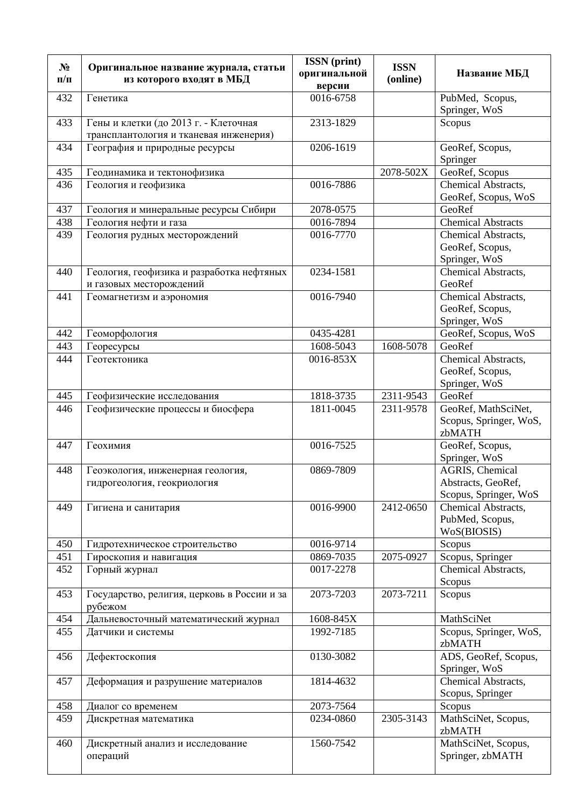|           |                                             | <b>ISSN</b> (print) |             |                           |
|-----------|---------------------------------------------|---------------------|-------------|---------------------------|
| $N_2$     | Оригинальное название журнала, статьи       | оригинальной        | <b>ISSN</b> | Название МБД              |
| $\Pi/\Pi$ | из которого входят в МБД                    | версии              | (online)    |                           |
| 432       | Генетика                                    | 0016-6758           |             | PubMed, Scopus,           |
|           |                                             |                     |             | Springer, WoS             |
| 433       | Гены и клетки (до 2013 г. - Клеточная       | 2313-1829           |             | Scopus                    |
|           | трансплантология и тканевая инженерия)      |                     |             |                           |
| 434       | География и природные ресурсы               | 0206-1619           |             | GeoRef, Scopus,           |
|           |                                             |                     |             | Springer                  |
| 435       | Геодинамика и тектонофизика                 |                     | 2078-502X   | GeoRef, Scopus            |
| 436       | Геология и геофизика                        | 0016-7886           |             | Chemical Abstracts,       |
|           |                                             |                     |             | GeoRef, Scopus, WoS       |
| 437       | Геология и минеральные ресурсы Сибири       | 2078-0575           |             | GeoRef                    |
| 438       | Геология нефти и газа                       | 0016-7894           |             | <b>Chemical Abstracts</b> |
| 439       | Геология рудных месторождений               | 0016-7770           |             | Chemical Abstracts,       |
|           |                                             |                     |             | GeoRef, Scopus,           |
|           |                                             |                     |             | Springer, WoS             |
| 440       | Геология, геофизика и разработка нефтяных   | 0234-1581           |             | Chemical Abstracts,       |
|           | и газовых месторождений                     |                     |             | GeoRef                    |
| 441       | Геомагнетизм и аэрономия                    | 0016-7940           |             | Chemical Abstracts,       |
|           |                                             |                     |             | GeoRef, Scopus,           |
|           |                                             |                     |             | Springer, WoS             |
| 442       | Геоморфология                               | 0435-4281           |             | GeoRef, Scopus, WoS       |
| 443       | Георесурсы                                  | 1608-5043           | 1608-5078   | GeoRef                    |
| 444       | Геотектоника                                | 0016-853X           |             | Chemical Abstracts,       |
|           |                                             |                     |             | GeoRef, Scopus,           |
|           |                                             |                     |             | Springer, WoS             |
| 445       | Геофизические исследования                  | 1818-3735           | 2311-9543   | GeoRef                    |
| 446       | Геофизические процессы и биосфера           | 1811-0045           | 2311-9578   | GeoRef, MathSciNet,       |
|           |                                             |                     |             | Scopus, Springer, WoS,    |
|           |                                             |                     |             | zbMATH                    |
| 447       | Геохимия                                    | 0016-7525           |             | GeoRef, Scopus,           |
|           |                                             |                     |             | Springer, WoS             |
| 448       | Геоэкология, инженерная геология,           | 0869-7809           |             | AGRIS, Chemical           |
|           | гидрогеология, геокриология                 |                     |             | Abstracts, GeoRef,        |
|           |                                             |                     |             | Scopus, Springer, WoS     |
| 449       | Гигиена и санитария                         | 0016-9900           | 2412-0650   | Chemical Abstracts,       |
|           |                                             |                     |             | PubMed, Scopus,           |
|           |                                             |                     |             | WoS(BIOSIS)               |
| 450       | Гидротехническое строительство              | 0016-9714           |             | Scopus                    |
| 451       | Гироскопия и навигация                      | 0869-7035           | 2075-0927   | Scopus, Springer          |
| 452       | Горный журнал                               | 0017-2278           |             | Chemical Abstracts,       |
|           |                                             |                     |             | Scopus                    |
| 453       | Государство, религия, церковь в России и за | 2073-7203           | 2073-7211   | Scopus                    |
|           | рубежом                                     |                     |             |                           |
| 454       | Дальневосточный математический журнал       | 1608-845X           |             | MathSciNet                |
| 455       | Датчики и системы                           | 1992-7185           |             | Scopus, Springer, WoS,    |
|           |                                             |                     |             | zbMATH                    |
| 456       | Дефектоскопия                               | 0130-3082           |             | ADS, GeoRef, Scopus,      |
|           |                                             |                     |             | Springer, WoS             |
| 457       | Деформация и разрушение материалов          | 1814-4632           |             | Chemical Abstracts,       |
|           |                                             |                     |             | Scopus, Springer          |
| 458       | Диалог со временем                          | 2073-7564           |             | Scopus                    |
| 459       | Дискретная математика                       | 0234-0860           | 2305-3143   | MathSciNet, Scopus,       |
|           |                                             |                     |             | zbMATH                    |
| 460       | Дискретный анализ и исследование            | 1560-7542           |             | MathSciNet, Scopus,       |
|           | операций                                    |                     |             | Springer, zbMATH          |
|           |                                             |                     |             |                           |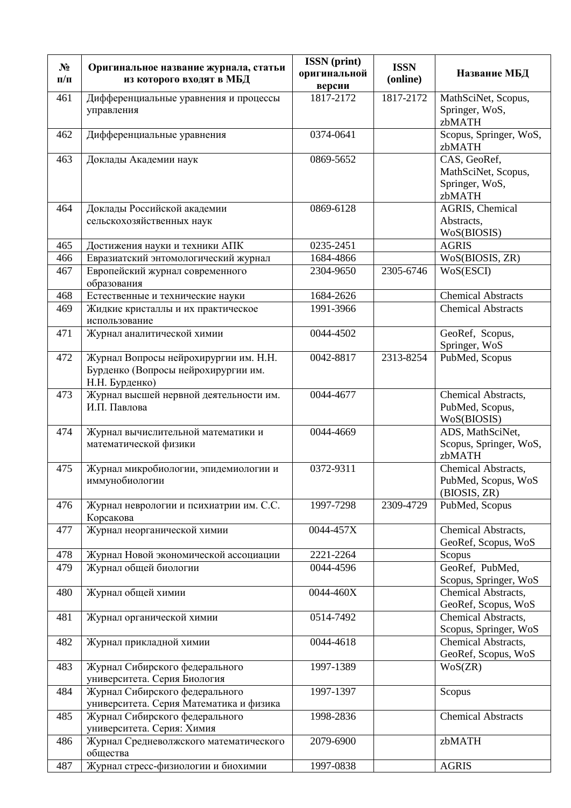| $N_2$<br>$\Pi/\Pi$ | Оригинальное название журнала, статьи<br>из которого входят в МБД                              | <b>ISSN</b> (print)<br>оригинальной<br>версии | <b>ISSN</b><br>(online) | Название МБД                                                    |
|--------------------|------------------------------------------------------------------------------------------------|-----------------------------------------------|-------------------------|-----------------------------------------------------------------|
| 461                | Дифференциальные уравнения и процессы<br>управления                                            | 1817-2172                                     | 1817-2172               | MathSciNet, Scopus,<br>Springer, WoS,<br>zbMATH                 |
| 462                | Дифференциальные уравнения                                                                     | 0374-0641                                     |                         | Scopus, Springer, WoS,<br>zbMATH                                |
| 463                | Доклады Академии наук                                                                          | 0869-5652                                     |                         | CAS, GeoRef,<br>MathSciNet, Scopus,<br>Springer, WoS,<br>zbMATH |
| 464                | Доклады Российской академии<br>сельскохозяйственных наук                                       | 0869-6128                                     |                         | <b>AGRIS</b> , Chemical<br>Abstracts,<br>WoS(BIOSIS)            |
| 465                | Достижения науки и техники АПК                                                                 | 0235-2451                                     |                         | <b>AGRIS</b>                                                    |
| 466                | Евразиатский энтомологический журнал                                                           | 1684-4866                                     |                         | WoS(BIOSIS, ZR)                                                 |
| 467                | Европейский журнал современного<br>образования                                                 | 2304-9650                                     | 2305-6746               | WoS(ESCI)                                                       |
| 468                | Естественные и технические науки                                                               | 1684-2626                                     |                         | <b>Chemical Abstracts</b>                                       |
| 469                | Жидкие кристаллы и их практическое<br>использование                                            | 1991-3966                                     |                         | <b>Chemical Abstracts</b>                                       |
| 471                | Журнал аналитической химии                                                                     | 0044-4502                                     |                         | GeoRef, Scopus,<br>Springer, WoS                                |
| 472                | Журнал Вопросы нейрохирургии им. Н.Н.<br>Бурденко (Вопросы нейрохирургии им.<br>Н.Н. Бурденко) | 0042-8817                                     | 2313-8254               | PubMed, Scopus                                                  |
| 473                | Журнал высшей нервной деятельности им.<br>И.П. Павлова                                         | 0044-4677                                     |                         | Chemical Abstracts,<br>PubMed, Scopus,<br>WoS(BIOSIS)           |
| 474                | Журнал вычислительной математики и<br>математической физики                                    | 0044-4669                                     |                         | ADS, MathSciNet,<br>Scopus, Springer, WoS,<br>zbMATH            |
| 475                | Журнал микробиологии, эпидемиологии и<br>иммунобиологии                                        | 0372-9311                                     |                         | Chemical Abstracts,<br>PubMed, Scopus, WoS<br>(BIOSIS, ZR)      |
| 476                | Журнал неврологии и психиатрии им. С.С.<br>Корсакова                                           | 1997-7298                                     | 2309-4729               | PubMed, Scopus                                                  |
| 477                | Журнал неорганической химии                                                                    | 0044-457X                                     |                         | Chemical Abstracts,<br>GeoRef, Scopus, WoS                      |
| 478                | Журнал Новой экономической ассоциации                                                          | 2221-2264                                     |                         | Scopus                                                          |
| 479                | Журнал общей биологии                                                                          | 0044-4596                                     |                         | GeoRef, PubMed,<br>Scopus, Springer, WoS                        |
| 480                | Журнал общей химии                                                                             | 0044-460X                                     |                         | Chemical Abstracts,<br>GeoRef, Scopus, WoS                      |
| 481                | Журнал органической химии                                                                      | 0514-7492                                     |                         | Chemical Abstracts,<br>Scopus, Springer, WoS                    |
| 482                | Журнал прикладной химии                                                                        | 0044-4618                                     |                         | Chemical Abstracts,<br>GeoRef, Scopus, WoS                      |
| 483                | Журнал Сибирского федерального<br>университета. Серия Биология                                 | 1997-1389                                     |                         | WoS(ZR)                                                         |
| 484                | Журнал Сибирского федерального<br>университета. Серия Математика и физика                      | 1997-1397                                     |                         | Scopus                                                          |
| 485                | Журнал Сибирского федерального<br>университета. Серия: Химия                                   | 1998-2836                                     |                         | <b>Chemical Abstracts</b>                                       |
| 486                | Журнал Средневолжского математического<br>общества                                             | 2079-6900                                     |                         | zbMATH                                                          |
| 487                | Журнал стресс-физиологии и биохимии                                                            | 1997-0838                                     |                         | <b>AGRIS</b>                                                    |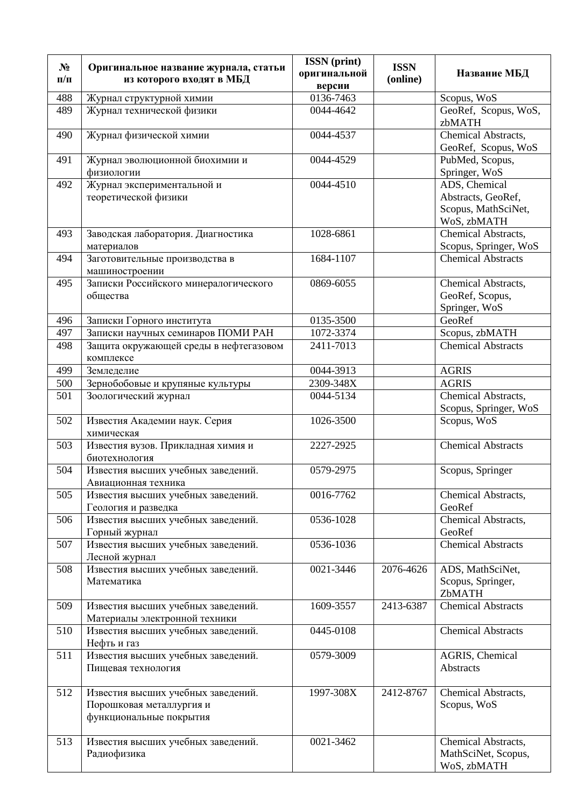| $N_2$<br>$\Pi/\Pi$ | Оригинальное название журнала, статьи<br>из которого входят в МБД                         | <b>ISSN</b> (print)<br>оригинальной<br>версии | <b>ISSN</b><br>(online) | Название МБД                                                              |
|--------------------|-------------------------------------------------------------------------------------------|-----------------------------------------------|-------------------------|---------------------------------------------------------------------------|
| 488                | Журнал структурной химии                                                                  | 0136-7463                                     |                         | Scopus, WoS                                                               |
| 489                | Журнал технической физики                                                                 | 0044-4642                                     |                         | GeoRef, Scopus, WoS,<br>zbMATH                                            |
| 490                | Журнал физической химии                                                                   | 0044-4537                                     |                         | Chemical Abstracts,<br>GeoRef, Scopus, WoS                                |
| 491                | Журнал эволюционной биохимии и<br>физиологии                                              | 0044-4529                                     |                         | PubMed, Scopus,<br>Springer, WoS                                          |
| 492                | Журнал экспериментальной и<br>теоретической физики                                        | 0044-4510                                     |                         | ADS, Chemical<br>Abstracts, GeoRef,<br>Scopus, MathSciNet,<br>WoS, zbMATH |
| 493                | Заводская лаборатория. Диагностика<br>материалов                                          | 1028-6861                                     |                         | Chemical Abstracts,<br>Scopus, Springer, WoS                              |
| 494                | Заготовительные производства в<br>машиностроении                                          | 1684-1107                                     |                         | <b>Chemical Abstracts</b>                                                 |
| 495                | Записки Российского минералогического<br>общества                                         | 0869-6055                                     |                         | Chemical Abstracts,<br>GeoRef, Scopus,<br>Springer, WoS                   |
| 496                | Записки Горного института                                                                 | 0135-3500                                     |                         | GeoRef                                                                    |
| 497                | Записки научных семинаров ПОМИ РАН                                                        | 1072-3374                                     |                         | Scopus, zbMATH                                                            |
| 498                | Защита окружающей среды в нефтегазовом<br>комплексе                                       | 2411-7013                                     |                         | <b>Chemical Abstracts</b>                                                 |
| 499                | Земледелие                                                                                | 0044-3913                                     |                         | <b>AGRIS</b>                                                              |
| 500                | Зернобобовые и крупяные культуры                                                          | 2309-348X                                     |                         | <b>AGRIS</b>                                                              |
| 501                | Зоологический журнал                                                                      | 0044-5134                                     |                         | Chemical Abstracts,<br>Scopus, Springer, WoS                              |
| 502                | Известия Академии наук. Серия<br>химическая                                               | 1026-3500                                     |                         | Scopus, WoS                                                               |
| 503                | Известия вузов. Прикладная химия и<br>биотехнология                                       | 2227-2925                                     |                         | <b>Chemical Abstracts</b>                                                 |
| 504                | Известия высших учебных заведений.<br>Авиационная техника                                 | 0579-2975                                     |                         | Scopus, Springer                                                          |
| 505                | Известия высших учебных заведений.<br>Геология и разведка                                 | 0016-7762                                     |                         | Chemical Abstracts,<br>GeoRef                                             |
| 506                | Известия высших учебных заведений.<br>Горный журнал                                       | 0536-1028                                     |                         | Chemical Abstracts,<br>GeoRef                                             |
| 507                | Известия высших учебных заведений.<br>Лесной журнал                                       | 0536-1036                                     |                         | <b>Chemical Abstracts</b>                                                 |
| 508                | Известия высших учебных заведений.<br>Математика                                          | 0021-3446                                     | 2076-4626               | ADS, MathSciNet,<br>Scopus, Springer,<br>ZbMATH                           |
| 509                | Известия высших учебных заведений.<br>Материалы электронной техники                       | 1609-3557                                     | 2413-6387               | <b>Chemical Abstracts</b>                                                 |
| 510                | Известия высших учебных заведений.<br>Нефть и газ                                         | 0445-0108                                     |                         | <b>Chemical Abstracts</b>                                                 |
| 511                | Известия высших учебных заведений.<br>Пищевая технология                                  | 0579-3009                                     |                         | AGRIS, Chemical<br>Abstracts                                              |
| 512                | Известия высших учебных заведений.<br>Порошковая металлургия и<br>функциональные покрытия | 1997-308X                                     | 2412-8767               | Chemical Abstracts,<br>Scopus, WoS                                        |
| 513                | Известия высших учебных заведений.<br>Радиофизика                                         | 0021-3462                                     |                         | Chemical Abstracts,<br>MathSciNet, Scopus,<br>WoS, zbMATH                 |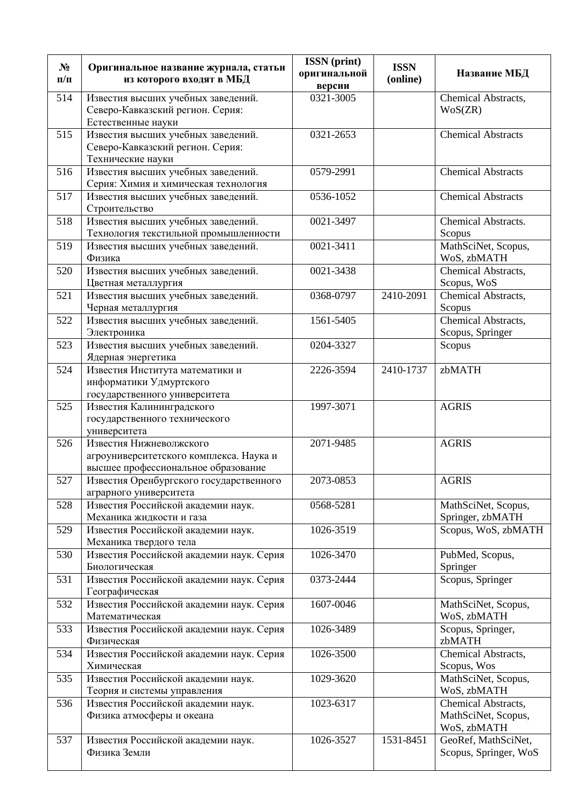| $N_2$<br>$\Pi/\Pi$ | Оригинальное название журнала, статьи<br>из которого входят в МБД                                         | <b>ISSN</b> (print)<br>оригинальной<br>версии | <b>ISSN</b><br>(online) | Название МБД                                              |
|--------------------|-----------------------------------------------------------------------------------------------------------|-----------------------------------------------|-------------------------|-----------------------------------------------------------|
| 514                | Известия высших учебных заведений.<br>Северо-Кавказский регион. Серия:<br>Естественные науки              | 0321-3005                                     |                         | Chemical Abstracts,<br>WoS(ZR)                            |
| 515                | Известия высших учебных заведений.<br>Северо-Кавказский регион. Серия:<br>Технические науки               | 0321-2653                                     |                         | <b>Chemical Abstracts</b>                                 |
| 516                | Известия высших учебных заведений.<br>Серия: Химия и химическая технология                                | 0579-2991                                     |                         | Chemical Abstracts                                        |
| 517                | Известия высших учебных заведений.<br>Строительство                                                       | 0536-1052                                     |                         | <b>Chemical Abstracts</b>                                 |
| 518                | Известия высших учебных заведений.<br>Технология текстильной промышленности                               | 0021-3497                                     |                         | Chemical Abstracts.<br>Scopus                             |
| 519                | Известия высших учебных заведений.<br>Физика                                                              | 0021-3411                                     |                         | MathSciNet, Scopus,<br>WoS, zbMATH                        |
| 520                | Известия высших учебных заведений.<br>Цветная металлургия                                                 | 0021-3438                                     |                         | Chemical Abstracts,<br>Scopus, WoS                        |
| 521                | Известия высших учебных заведений.<br>Черная металлургия                                                  | 0368-0797                                     | 2410-2091               | Chemical Abstracts,<br>Scopus                             |
| 522                | Известия высших учебных заведений.<br>Электроника                                                         | 1561-5405                                     |                         | Chemical Abstracts,<br>Scopus, Springer                   |
| 523                | Известия высших учебных заведений.<br>Ядерная энергетика                                                  | 0204-3327                                     |                         | Scopus                                                    |
| 524                | Известия Института математики и<br>информатики Удмуртского<br>государственного университета               | 2226-3594                                     | 2410-1737               | zbMATH                                                    |
| 525                | Известия Калининградского<br>государственного технического<br>университета                                | 1997-3071                                     |                         | <b>AGRIS</b>                                              |
| 526                | Известия Нижневолжского<br>агроуниверситетского комплекса. Наука и<br>высшее профессиональное образование | 2071-9485                                     |                         | <b>AGRIS</b>                                              |
| 527                | Известия Оренбургского государственного<br>аграрного университета                                         | 2073-0853                                     |                         | <b>AGRIS</b>                                              |
| 528                | Известия Российской академии наук.<br>Механика жидкости и газа                                            | 0568-5281                                     |                         | MathSciNet, Scopus,<br>Springer, zbMATH                   |
| 529                | Известия Российской академии наук.<br>Механика твердого тела                                              | 1026-3519                                     |                         | Scopus, WoS, zbMATH                                       |
| 530                | Известия Российской академии наук. Серия<br>Биологическая                                                 | 1026-3470                                     |                         | PubMed, Scopus,<br>Springer                               |
| 531                | Известия Российской академии наук. Серия<br>Географическая                                                | 0373-2444                                     |                         | Scopus, Springer                                          |
| 532                | Известия Российской академии наук. Серия<br>Математическая                                                | 1607-0046                                     |                         | MathSciNet, Scopus,<br>WoS, zbMATH                        |
| 533                | Известия Российской академии наук. Серия<br>Физическая                                                    | 1026-3489                                     |                         | Scopus, Springer,<br>zbMATH                               |
| 534                | Известия Российской академии наук. Серия<br>Химическая                                                    | 1026-3500                                     |                         | Chemical Abstracts,<br>Scopus, Wos                        |
| 535                | Известия Российской академии наук.<br>Теория и системы управления                                         | 1029-3620                                     |                         | MathSciNet, Scopus,<br>WoS, zbMATH                        |
| 536                | Известия Российской академии наук.<br>Физика атмосферы и океана                                           | 1023-6317                                     |                         | Chemical Abstracts,<br>MathSciNet, Scopus,<br>WoS, zbMATH |
| 537                | Известия Российской академии наук.<br>Физика Земли                                                        | 1026-3527                                     | 1531-8451               | GeoRef, MathSciNet,<br>Scopus, Springer, WoS              |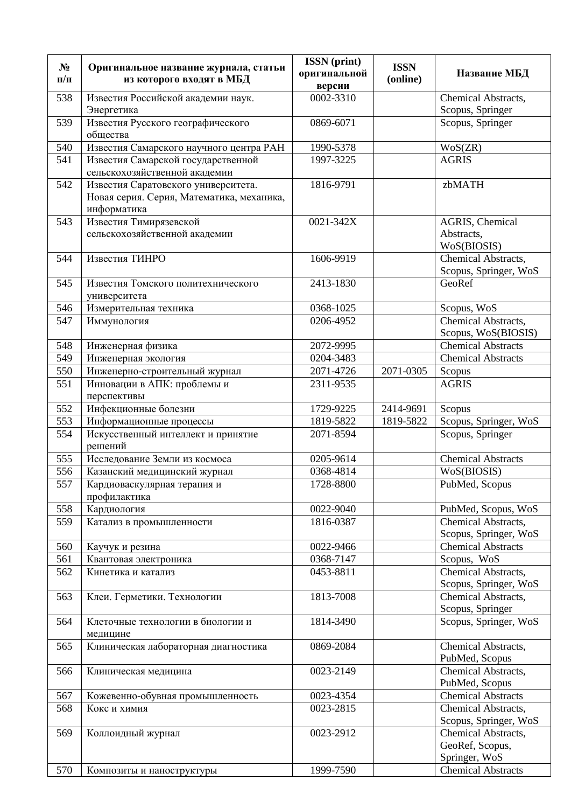| $N_2$<br>$\Pi/\Pi$ | Оригинальное название журнала, статьи<br>из которого входят в МБД                               | <b>ISSN</b> (print)<br>оригинальной<br>версии | <b>ISSN</b><br>(online) | Название МБД                                            |
|--------------------|-------------------------------------------------------------------------------------------------|-----------------------------------------------|-------------------------|---------------------------------------------------------|
| 538                | Известия Российской академии наук.                                                              | 0002-3310                                     |                         | Chemical Abstracts,                                     |
| 539                | Энергетика<br>Известия Русского географического                                                 | 0869-6071                                     |                         | Scopus, Springer<br>Scopus, Springer                    |
|                    | общества                                                                                        |                                               |                         |                                                         |
| 540                | Известия Самарского научного центра РАН                                                         | 1990-5378                                     |                         | WoS(ZR)                                                 |
| 541                | Известия Самарской государственной<br>сельскохозяйственной академии                             | 1997-3225                                     |                         | <b>AGRIS</b>                                            |
| 542                | Известия Саратовского университета.<br>Новая серия. Серия, Математика, механика,<br>информатика | 1816-9791                                     |                         | zbMATH                                                  |
| 543                | Известия Тимирязевской<br>сельскохозяйственной академии                                         | 0021-342X                                     |                         | AGRIS, Chemical<br>Abstracts,<br>WoS(BIOSIS)            |
| 544                | Известия ТИНРО                                                                                  | 1606-9919                                     |                         | Chemical Abstracts,<br>Scopus, Springer, WoS            |
| 545                | Известия Томского политехнического<br>университета                                              | 2413-1830                                     |                         | GeoRef                                                  |
| 546                | Измерительная техника                                                                           | 0368-1025                                     |                         | Scopus, WoS                                             |
| 547                | Иммунология                                                                                     | 0206-4952                                     |                         | Chemical Abstracts,<br>Scopus, WoS(BIOSIS)              |
| 548                | Инженерная физика                                                                               | 2072-9995                                     |                         | <b>Chemical Abstracts</b>                               |
| 549                | Инженерная экология                                                                             | 0204-3483                                     |                         | <b>Chemical Abstracts</b>                               |
| 550                | Инженерно-строительный журнал                                                                   | 2071-4726                                     | 2071-0305               | Scopus                                                  |
| 551                | Инновации в АПК: проблемы и<br>перспективы                                                      | 2311-9535                                     |                         | <b>AGRIS</b>                                            |
| 552                | Инфекционные болезни                                                                            | 1729-9225                                     | 2414-9691               | Scopus                                                  |
| 553                | Информационные процессы                                                                         | 1819-5822                                     | 1819-5822               | Scopus, Springer, WoS                                   |
| 554                | Искусственный интеллект и принятие<br>решений                                                   | 2071-8594                                     |                         | Scopus, Springer                                        |
| 555                | Исследование Земли из космоса                                                                   | 0205-9614                                     |                         | <b>Chemical Abstracts</b>                               |
| 556                | Казанский медицинский журнал                                                                    | 0368-4814                                     |                         | WoS(BIOSIS)                                             |
| 557                | Кардиоваскулярная терапия и<br>профилактика                                                     | 1728-8800                                     |                         | PubMed, Scopus                                          |
| 558                | Кардиология                                                                                     | 0022-9040                                     |                         | PubMed, Scopus, WoS                                     |
| 559                | Катализ в промышленности                                                                        | 1816-0387                                     |                         | Chemical Abstracts,<br>Scopus, Springer, WoS            |
| 560                | Каучук и резина                                                                                 | 0022-9466                                     |                         | <b>Chemical Abstracts</b>                               |
| 561                | Квантовая электроника                                                                           | 0368-7147                                     |                         | Scopus, WoS                                             |
| 562                | Кинетика и катализ                                                                              | 0453-8811                                     |                         | Chemical Abstracts,<br>Scopus, Springer, WoS            |
| 563                | Клеи. Герметики. Технологии                                                                     | 1813-7008                                     |                         | Chemical Abstracts,<br>Scopus, Springer                 |
| 564                | Клеточные технологии в биологии и<br>медицине                                                   | 1814-3490                                     |                         | Scopus, Springer, WoS                                   |
| 565                | Клиническая лабораторная диагностика                                                            | 0869-2084                                     |                         | Chemical Abstracts,<br>PubMed, Scopus                   |
| 566                | Клиническая медицина                                                                            | 0023-2149                                     |                         | Chemical Abstracts,<br>PubMed, Scopus                   |
| 567                | Кожевенно-обувная промышленность                                                                | 0023-4354                                     |                         | <b>Chemical Abstracts</b>                               |
| 568                | Кокс и химия                                                                                    | 0023-2815                                     |                         | Chemical Abstracts,                                     |
|                    |                                                                                                 |                                               |                         | Scopus, Springer, WoS                                   |
| 569                | Коллоидный журнал                                                                               | 0023-2912                                     |                         | Chemical Abstracts,<br>GeoRef, Scopus,<br>Springer, WoS |
| 570                | Композиты и наноструктуры                                                                       | 1999-7590                                     |                         | <b>Chemical Abstracts</b>                               |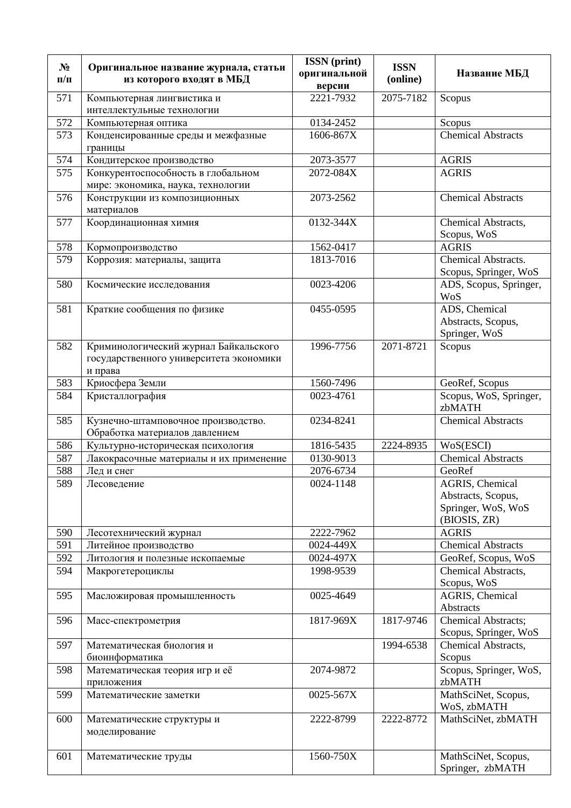| $N_2$<br>$\Pi/\Pi$ | Оригинальное название журнала, статьи<br>из которого входят в МБД                           | <b>ISSN</b> (print)<br>оригинальной<br>версии | <b>ISSN</b><br>(online) | Название МБД                                                                |
|--------------------|---------------------------------------------------------------------------------------------|-----------------------------------------------|-------------------------|-----------------------------------------------------------------------------|
| 571                | Компьютерная лингвистика и                                                                  | 2221-7932                                     | 2075-7182               | Scopus                                                                      |
|                    | интеллектульные технологии                                                                  |                                               |                         |                                                                             |
| 572                | Компьютерная оптика                                                                         | 0134-2452                                     |                         | Scopus                                                                      |
| 573                | Конденсированные среды и межфазные<br>границы                                               | 1606-867X                                     |                         | <b>Chemical Abstracts</b>                                                   |
| 574                | Кондитерское производство                                                                   | 2073-3577                                     |                         | <b>AGRIS</b>                                                                |
| 575                | Конкурентоспособность в глобальном<br>мире: экономика, наука, технологии                    | 2072-084X                                     |                         | <b>AGRIS</b>                                                                |
| 576                | Конструкции из композиционных<br>материалов                                                 | 2073-2562                                     |                         | <b>Chemical Abstracts</b>                                                   |
| 577                | Координационная химия                                                                       | 0132-344X                                     |                         | Chemical Abstracts,<br>Scopus, WoS                                          |
| 578                | Кормопроизводство                                                                           | 1562-0417                                     |                         | <b>AGRIS</b>                                                                |
| 579                | Коррозия: материалы, защита                                                                 | 1813-7016                                     |                         | Chemical Abstracts.                                                         |
|                    |                                                                                             |                                               |                         | Scopus, Springer, WoS                                                       |
| 580                | Космические исследования                                                                    | 0023-4206                                     |                         | ADS, Scopus, Springer,<br>WoS                                               |
| 581                | Краткие сообщения по физике                                                                 | 0455-0595                                     |                         | ADS, Chemical                                                               |
|                    |                                                                                             |                                               |                         | Abstracts, Scopus,                                                          |
|                    |                                                                                             |                                               |                         | Springer, WoS                                                               |
| 582                | Криминологический журнал Байкальского<br>государственного университета экономики<br>и права | 1996-7756                                     | 2071-8721               | Scopus                                                                      |
| 583                | Криосфера Земли                                                                             | 1560-7496                                     |                         | GeoRef, Scopus                                                              |
| 584                | Кристаллография                                                                             | 0023-4761                                     |                         | Scopus, WoS, Springer,<br>zbMATH                                            |
| 585                | Кузнечно-штамповочное производство.<br>Обработка материалов давлением                       | 0234-8241                                     |                         | <b>Chemical Abstracts</b>                                                   |
| 586                | Культурно-историческая психология                                                           | 1816-5435                                     | 2224-8935               | WoS(ESCI)                                                                   |
| 587                | Лакокрасочные материалы и их применение                                                     | 0130-9013                                     |                         | Chemical Abstracts                                                          |
| 588                | Лед и снег                                                                                  | 2076-6734                                     |                         | GeoRef                                                                      |
| 589                | Лесоведение                                                                                 | 0024-1148                                     |                         | AGRIS, Chemical<br>Abstracts, Scopus,<br>Springer, WoS, WoS<br>(BIOSIS, ZR) |
| 590                | Лесотехнический журнал                                                                      | 2222-7962                                     |                         | <b>AGRIS</b>                                                                |
| 591                | Литейное производство                                                                       | 0024-449X                                     |                         | <b>Chemical Abstracts</b>                                                   |
| 592                | Литология и полезные ископаемые                                                             | 0024-497X                                     |                         | GeoRef, Scopus, WoS                                                         |
| 594                | Макрогетероциклы                                                                            | 1998-9539                                     |                         | Chemical Abstracts,<br>Scopus, WoS                                          |
| 595                | Масложировая промышленность                                                                 | 0025-4649                                     |                         | AGRIS, Chemical<br>Abstracts                                                |
| 596                | Масс-спектрометрия                                                                          | 1817-969X                                     | 1817-9746               | Chemical Abstracts;<br>Scopus, Springer, WoS                                |
| 597                | Математическая биология и<br>биоинформатика                                                 |                                               | 1994-6538               | Chemical Abstracts,<br>Scopus                                               |
| 598                | Математическая теория игр и её<br>приложения                                                | 2074-9872                                     |                         | Scopus, Springer, WoS,<br>zbMATH                                            |
| 599                | Математические заметки                                                                      | 0025-567X                                     |                         | MathSciNet, Scopus,<br>WoS, zbMATH                                          |
| 600                | Математические структуры и<br>моделирование                                                 | 2222-8799                                     | 2222-8772               | MathSciNet, zbMATH                                                          |
| 601                | Математические труды                                                                        | 1560-750X                                     |                         | MathSciNet, Scopus,<br>Springer, zbMATH                                     |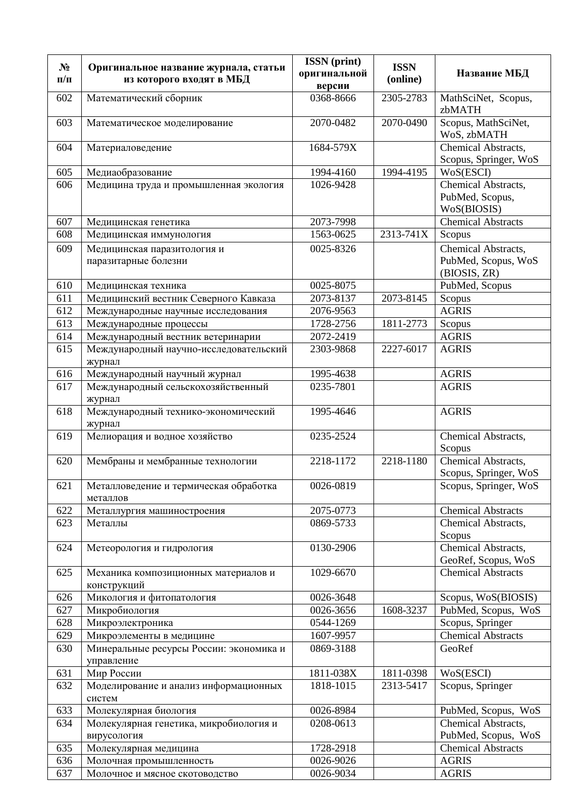| $N_2$<br>$\Pi/\Pi$ | Оригинальное название журнала, статьи<br>из которого входят в МБД             | <b>ISSN</b> (print)<br>оригинальной<br>версии | <b>ISSN</b><br>(online) | Название МБД                                               |
|--------------------|-------------------------------------------------------------------------------|-----------------------------------------------|-------------------------|------------------------------------------------------------|
| 602                | Математический сборник                                                        | 0368-8666                                     | 2305-2783               | MathSciNet, Scopus,<br>zbMATH                              |
| 603                | Математическое моделирование                                                  | 2070-0482                                     | 2070-0490               | Scopus, MathSciNet,<br>WoS, zbMATH                         |
| 604                | Материаловедение                                                              | 1684-579X                                     |                         | Chemical Abstracts,<br>Scopus, Springer, WoS               |
| 605                | Медиаобразование                                                              | 1994-4160                                     | 1994-4195               | WoS(ESCI)                                                  |
| 606                | Медицина труда и промышленная экология                                        | 1026-9428                                     |                         | Chemical Abstracts,<br>PubMed, Scopus,<br>WoS(BIOSIS)      |
| 607                | Медицинская генетика                                                          | 2073-7998                                     |                         | <b>Chemical Abstracts</b>                                  |
| 608                | Медицинская иммунология                                                       | 1563-0625                                     | 2313-741X               | Scopus                                                     |
| 609                | Медицинская паразитология и<br>паразитарные болезни                           | 0025-8326                                     |                         | Chemical Abstracts,<br>PubMed, Scopus, WoS<br>(BIOSIS, ZR) |
| 610                | Медицинская техника                                                           | 0025-8075                                     |                         | PubMed, Scopus                                             |
| 611                | Медицинский вестник Северного Кавказа                                         | 2073-8137                                     | 2073-8145               | Scopus                                                     |
| 612                | Международные научные исследования                                            | 2076-9563                                     |                         | <b>AGRIS</b>                                               |
| 613                | Международные процессы                                                        | 1728-2756                                     | 1811-2773               | Scopus                                                     |
| 614                | Международный вестник ветеринарии                                             | 2072-2419                                     |                         | <b>AGRIS</b>                                               |
| 615                | Международный научно-исследовательский<br>журнал                              | 2303-9868                                     | 2227-6017               | <b>AGRIS</b>                                               |
| 616                | Международный научный журнал                                                  | 1995-4638                                     |                         | <b>AGRIS</b>                                               |
| 617                | Международный сельскохозяйственный<br>журнал                                  | 0235-7801                                     |                         | <b>AGRIS</b>                                               |
| 618                | Международный технико-экономический<br>журнал                                 | 1995-4646                                     |                         | <b>AGRIS</b>                                               |
| 619                | Мелиорация и водное хозяйство                                                 | 0235-2524                                     |                         | Chemical Abstracts,<br>Scopus                              |
| 620                | Мембраны и мембранные технологии                                              | 2218-1172                                     | 2218-1180               | Chemical Abstracts,<br>Scopus, Springer, WoS               |
| 621                | $\overline{\mathbf{r}}$<br>Металловедение и термическая обработка<br>металлов | 0026-0819                                     |                         | Scopus, Springer, WoS                                      |
| 622                | Металлургия машиностроения                                                    | 2075-0773                                     |                         | <b>Chemical Abstracts</b>                                  |
| 623                | Металлы                                                                       | 0869-5733                                     |                         | Chemical Abstracts,<br>Scopus                              |
| 624                | Метеорология и гидрология                                                     | 0130-2906                                     |                         | Chemical Abstracts,<br>GeoRef, Scopus, WoS                 |
| 625                | Механика композиционных материалов и<br>конструкций                           | 1029-6670                                     |                         | <b>Chemical Abstracts</b>                                  |
| 626                | Микология и фитопатология                                                     | 0026-3648                                     |                         | Scopus, WoS(BIOSIS)                                        |
| 627                | Микробиология                                                                 | 0026-3656                                     | 1608-3237               | PubMed, Scopus, WoS                                        |
| 628                | Микроэлектроника                                                              | 0544-1269                                     |                         | Scopus, Springer                                           |
| 629                | Микроэлементы в медицине                                                      | 1607-9957                                     |                         | <b>Chemical Abstracts</b>                                  |
| 630                | Минеральные ресурсы России: экономика и<br>управление                         | 0869-3188                                     |                         | GeoRef                                                     |
| 631                | Мир России                                                                    | 1811-038X                                     | 1811-0398               | WoS(ESCI)                                                  |
| 632                | Моделирование и анализ информационных<br>систем                               | 1818-1015                                     | 2313-5417               | Scopus, Springer                                           |
| 633                | Молекулярная биология                                                         | 0026-8984                                     |                         | PubMed, Scopus, WoS                                        |
| 634                | Молекулярная генетика, микробиология и<br>вирусология                         | 0208-0613                                     |                         | Chemical Abstracts,<br>PubMed, Scopus, WoS                 |
| 635                | Молекулярная медицина                                                         | 1728-2918                                     |                         | <b>Chemical Abstracts</b>                                  |
| 636                | Молочная промышленность                                                       | 0026-9026                                     |                         | <b>AGRIS</b>                                               |
| 637                | Молочное и мясное скотоводство                                                | 0026-9034                                     |                         | <b>AGRIS</b>                                               |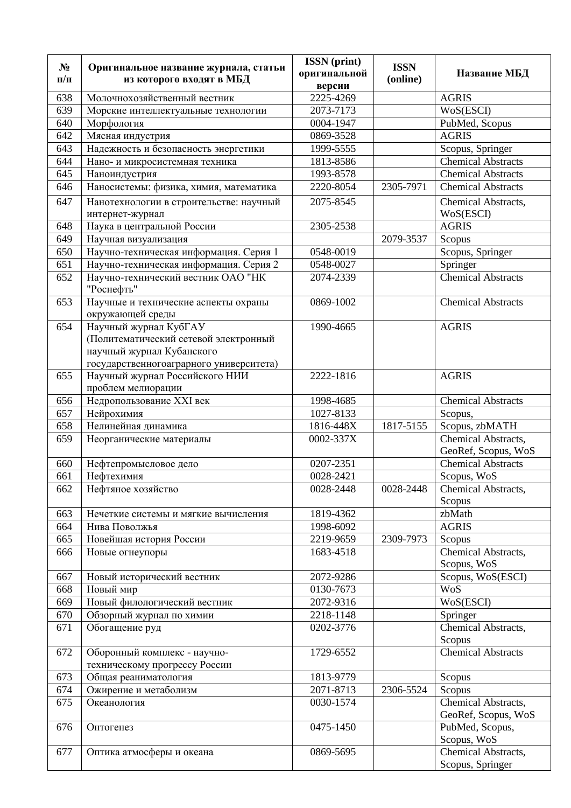| $N_2$     | Оригинальное название журнала, статьи                    | <b>ISSN</b> (print)    | <b>ISSN</b> |                                            |
|-----------|----------------------------------------------------------|------------------------|-------------|--------------------------------------------|
| $\Pi/\Pi$ | из которого входят в МБД                                 | оригинальной<br>версии | (online)    | Название МБД                               |
| 638       | Молочнохозяйственный вестник                             | 2225-4269              |             | <b>AGRIS</b>                               |
| 639       | Морские интеллектуальные технологии                      | 2073-7173              |             | WoS(ESCI)                                  |
| 640       | Морфология                                               | 0004-1947              |             | PubMed, Scopus                             |
| 642       | Мясная индустрия                                         | 0869-3528              |             | <b>AGRIS</b>                               |
| 643       | Надежность и безопасность энергетики                     | 1999-5555              |             | Scopus, Springer                           |
| 644       | Нано- и микросистемная техника                           | 1813-8586              |             | <b>Chemical Abstracts</b>                  |
| 645       | Наноиндустрия                                            | 1993-8578              |             | <b>Chemical Abstracts</b>                  |
| 646       | Наносистемы: физика, химия, математика                   | 2220-8054              | 2305-7971   | <b>Chemical Abstracts</b>                  |
| 647       | Нанотехнологии в строительстве: научный                  | 2075-8545              |             | Chemical Abstracts,                        |
|           | интернет-журнал                                          |                        |             | WoS(ESCI)                                  |
| 648       | Наука в центральной России                               | 2305-2538              |             | <b>AGRIS</b>                               |
| 649       | Научная визуализация                                     |                        | 2079-3537   | Scopus                                     |
| 650       | Научно-техническая информация. Серия 1                   | 0548-0019              |             | Scopus, Springer                           |
| 651       | Научно-техническая информация. Серия 2                   | 0548-0027              |             | Springer                                   |
| 652       | Научно-технический вестник ОАО "НК                       | 2074-2339              |             | <b>Chemical Abstracts</b>                  |
|           | "Роснефть"                                               |                        |             |                                            |
| 653       | Научные и технические аспекты охраны<br>окружающей среды | 0869-1002              |             | <b>Chemical Abstracts</b>                  |
| 654       | Научный журнал КубГАУ                                    | 1990-4665              |             | <b>AGRIS</b>                               |
|           | (Политематический сетевой электронный                    |                        |             |                                            |
|           | научный журнал Кубанского                                |                        |             |                                            |
|           | государственногоаграрного университета)                  |                        |             |                                            |
| 655       | Научный журнал Российского НИИ                           | 2222-1816              |             | <b>AGRIS</b>                               |
|           | проблем мелиорации                                       |                        |             |                                            |
| 656       | Недропользование XXI век                                 | 1998-4685              |             | <b>Chemical Abstracts</b>                  |
| 657       | Нейрохимия                                               | 1027-8133              |             | Scopus,                                    |
| 658       | Нелинейная динамика                                      | 1816-448X              | 1817-5155   | Scopus, zbMATH                             |
| 659       | Неорганические материалы                                 | 0002-337X              |             | Chemical Abstracts,<br>GeoRef, Scopus, WoS |
| 660       | Нефтепромысловое дело                                    | 0207-2351              |             | <b>Chemical Abstracts</b>                  |
| 661       | Нефтехимия                                               | 0028-2421              |             | Scopus, WoS                                |
| 662       | Нефтяное хозяйство                                       | 0028-2448              | 0028-2448   | Chemical Abstracts,                        |
|           |                                                          |                        |             | Scopus                                     |
| 663       | Нечеткие системы и мягкие вычисления                     | 1819-4362              |             | zbMath                                     |
| 664       | Нива Поволжья                                            | 1998-6092              |             | <b>AGRIS</b>                               |
| 665       | Новейшая история России                                  | 2219-9659              | 2309-7973   | Scopus                                     |
| 666       | Новые огнеупоры                                          | 1683-4518              |             | Chemical Abstracts,                        |
|           |                                                          |                        |             | Scopus, WoS                                |
| 667       | Новый исторический вестник                               | 2072-9286              |             | Scopus, WoS(ESCI)                          |
| 668       | Новый мир                                                | 0130-7673              |             | W <sub>0</sub>                             |
| 669       | Новый филологический вестник                             | 2072-9316              |             | WoS(ESCI)                                  |
| 670       | Обзорный журнал по химии                                 | 2218-1148              |             | Springer                                   |
| 671       | Обогащение руд                                           | 0202-3776              |             | Chemical Abstracts,<br>Scopus              |
| 672       | Оборонный комплекс - научно-                             | 1729-6552              |             | <b>Chemical Abstracts</b>                  |
|           | техническому прогрессу России                            |                        |             |                                            |
| 673       | Общая реаниматология                                     | 1813-9779              |             | Scopus                                     |
| 674       | Ожирение и метаболизм                                    | 2071-8713              | 2306-5524   | Scopus                                     |
| 675       | Океанология                                              | 0030-1574              |             | Chemical Abstracts,                        |
|           |                                                          |                        |             | GeoRef, Scopus, WoS                        |
| 676       | <b>Онтогенез</b>                                         | 0475-1450              |             | PubMed, Scopus,                            |
|           |                                                          |                        |             | Scopus, WoS                                |
| 677       | Оптика атмосферы и океана                                | 0869-5695              |             | Chemical Abstracts,                        |
|           |                                                          |                        |             | Scopus, Springer                           |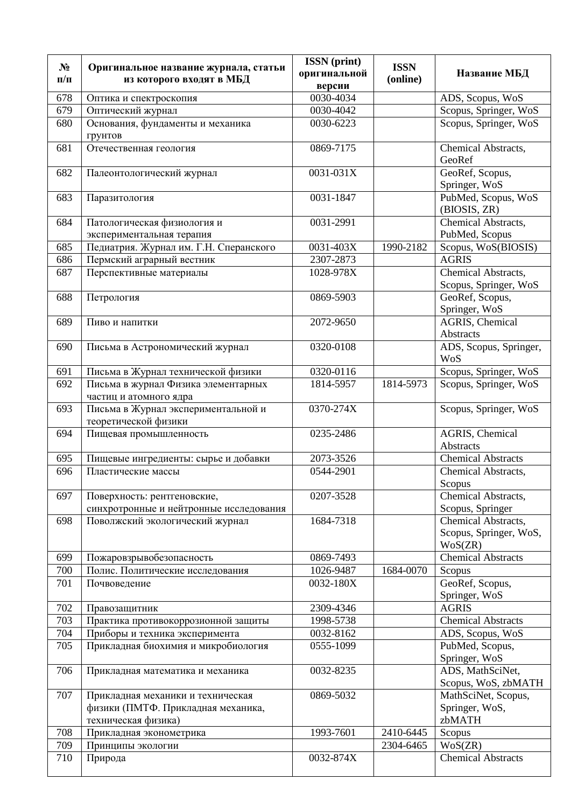| $N_2$<br>$\Pi/\Pi$ | Оригинальное название журнала, статьи<br>из которого входят в МБД                              | <b>ISSN</b> (print)<br>оригинальной<br>версии | <b>ISSN</b><br>(online) | Название МБД                                             |
|--------------------|------------------------------------------------------------------------------------------------|-----------------------------------------------|-------------------------|----------------------------------------------------------|
| 678                | Оптика и спектроскопия                                                                         | 0030-4034                                     |                         | ADS, Scopus, WoS                                         |
| 679                | Оптический журнал                                                                              | 0030-4042                                     |                         | Scopus, Springer, WoS                                    |
| 680                | Основания, фундаменты и механика<br>грунтов                                                    | 0030-6223                                     |                         | Scopus, Springer, WoS                                    |
| 681                | Отечественная геология                                                                         | 0869-7175                                     |                         | Chemical Abstracts,<br>GeoRef                            |
| 682                | Палеонтологический журнал                                                                      | 0031-031X                                     |                         | GeoRef, Scopus,<br>Springer, WoS                         |
| 683                | Паразитология                                                                                  | 0031-1847                                     |                         | PubMed, Scopus, WoS<br>(BIOSIS, ZR)                      |
| 684                | Патологическая физиология и<br>экспериментальная терапия                                       | 0031-2991                                     |                         | Chemical Abstracts,<br>PubMed, Scopus                    |
| 685                | Педиатрия. Журнал им. Г.Н. Сперанского                                                         | 0031-403X                                     | 1990-2182               | Scopus, WoS(BIOSIS)                                      |
| 686                | Пермский аграрный вестник                                                                      | 2307-2873                                     |                         | <b>AGRIS</b>                                             |
| 687                | Перспективные материалы                                                                        | 1028-978X                                     |                         | Chemical Abstracts,<br>Scopus, Springer, WoS             |
| 688                | Петрология                                                                                     | 0869-5903                                     |                         | GeoRef, Scopus,<br>Springer, WoS                         |
| 689                | Пиво и напитки                                                                                 | 2072-9650                                     |                         | AGRIS, Chemical<br>Abstracts                             |
| 690                | Письма в Астрономический журнал                                                                | 0320-0108                                     |                         | ADS, Scopus, Springer,<br><b>WoS</b>                     |
| 691                | Письма в Журнал технической физики                                                             | 0320-0116                                     |                         | Scopus, Springer, WoS                                    |
| 692                | Письма в журнал Физика элементарных<br>частиц и атомного ядра                                  | 1814-5957                                     | 1814-5973               | Scopus, Springer, WoS                                    |
| 693                | Письма в Журнал экспериментальной и<br>теоретической физики                                    | 0370-274X                                     |                         | Scopus, Springer, WoS                                    |
| 694                | Пищевая промышленность                                                                         | 0235-2486                                     |                         | AGRIS, Chemical<br>Abstracts                             |
| 695                | Пищевые ингредиенты: сырье и добавки                                                           | 2073-3526                                     |                         | <b>Chemical Abstracts</b>                                |
| 696                | Пластические массы                                                                             | 0544-2901                                     |                         | Chemical Abstracts,<br>Scopus                            |
| 697                | Поверхность: рентгеновские,<br>синхротронные и нейтронные исследования                         | 0207-3528                                     |                         | Chemical Abstracts,<br>Scopus, Springer                  |
| 698                | Поволжский экологический журнал                                                                | 1684-7318                                     |                         | Chemical Abstracts,<br>Scopus, Springer, WoS,<br>WoS(ZR) |
| 699                | Пожаровзрывобезопасность                                                                       | 0869-7493                                     |                         | <b>Chemical Abstracts</b>                                |
| 700                | Полис. Политические исследования                                                               | 1026-9487                                     | 1684-0070               | Scopus                                                   |
| 701                | Почвоведение                                                                                   | 0032-180X                                     |                         | GeoRef, Scopus,<br>Springer, WoS                         |
| 702                | Правозащитник                                                                                  | 2309-4346                                     |                         | <b>AGRIS</b>                                             |
| 703                | Практика противокоррозионной защиты                                                            | 1998-5738                                     |                         | <b>Chemical Abstracts</b>                                |
| 704                | Приборы и техника эксперимента                                                                 | 0032-8162                                     |                         | ADS, Scopus, WoS                                         |
| 705                | Прикладная биохимия и микробиология                                                            | 0555-1099                                     |                         | PubMed, Scopus,<br>Springer, WoS                         |
| 706                | Прикладная математика и механика                                                               | 0032-8235                                     |                         | ADS, MathSciNet,<br>Scopus, WoS, zbMATH                  |
| 707                | Прикладная механики и техническая<br>физики (ПМТФ. Прикладная механика,<br>техническая физика) | 0869-5032                                     |                         | MathSciNet, Scopus,<br>Springer, WoS,<br>zbMATH          |
| 708                | Прикладная эконометрика                                                                        | 1993-7601                                     | 2410-6445               | Scopus                                                   |
| 709                | Принципы экологии                                                                              |                                               | 2304-6465               | WoS(ZR)                                                  |
| 710                | Природа                                                                                        | 0032-874X                                     |                         | <b>Chemical Abstracts</b>                                |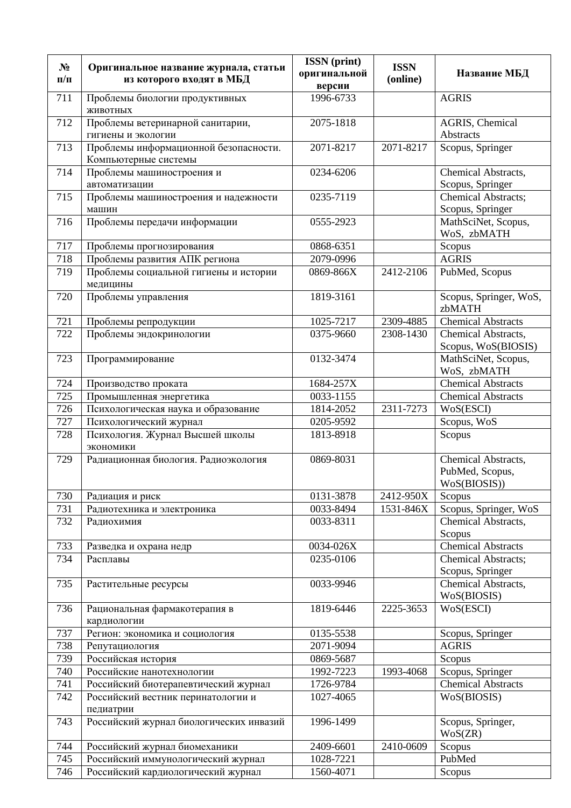| $N_2$     |                                                                   | <b>ISSN</b> (print) | <b>ISSN</b> |                                                        |
|-----------|-------------------------------------------------------------------|---------------------|-------------|--------------------------------------------------------|
| $\Pi/\Pi$ | Оригинальное название журнала, статьи<br>из которого входят в МБД | оригинальной        | (online)    | Название МБД                                           |
|           |                                                                   | версии              |             |                                                        |
| 711       | Проблемы биологии продуктивных<br>животных                        | 1996-6733           |             | <b>AGRIS</b>                                           |
| 712       | Проблемы ветеринарной санитарии,<br>гигиены и экологии            | 2075-1818           |             | AGRIS, Chemical<br>Abstracts                           |
| 713       | Проблемы информационной безопасности.<br>Компьютерные системы     | 2071-8217           | 2071-8217   | Scopus, Springer                                       |
| 714       | Проблемы машиностроения и                                         | 0234-6206           |             | Chemical Abstracts,                                    |
|           | автоматизации                                                     |                     |             | Scopus, Springer                                       |
| 715       | Проблемы машиностроения и надежности                              | 0235-7119           |             | Chemical Abstracts;                                    |
|           | машин                                                             |                     |             | Scopus, Springer                                       |
| 716       | Проблемы передачи информации                                      | 0555-2923           |             | MathSciNet, Scopus,<br>WoS, zbMATH                     |
| 717       | Проблемы прогнозирования                                          | 0868-6351           |             | Scopus                                                 |
| 718       | Проблемы развития АПК региона                                     | 2079-0996           |             | <b>AGRIS</b>                                           |
| 719       | Проблемы социальной гигиены и истории<br>медицины                 | 0869-866X           | 2412-2106   | PubMed, Scopus                                         |
| 720       | Проблемы управления                                               | 1819-3161           |             | Scopus, Springer, WoS,<br>zbMATH                       |
| 721       | Проблемы репродукции                                              | 1025-7217           | 2309-4885   | <b>Chemical Abstracts</b>                              |
| 722       | Проблемы эндокринологии                                           | 0375-9660           | 2308-1430   | Chemical Abstracts,<br>Scopus, WoS(BIOSIS)             |
| 723       | Программирование                                                  | 0132-3474           |             | MathSciNet, Scopus,<br>WoS, zbMATH                     |
| 724       | Производство проката                                              | 1684-257X           |             | <b>Chemical Abstracts</b>                              |
| 725       | Промышленная энергетика                                           | 0033-1155           |             | Chemical Abstracts                                     |
| 726       | Психологическая наука и образование                               | 1814-2052           | 2311-7273   | WoS(ESCI)                                              |
| 727       | Психологический журнал                                            | 0205-9592           |             | Scopus, WoS                                            |
| 728       | Психология. Журнал Высшей школы<br>экономики                      | 1813-8918           |             | Scopus                                                 |
| 729       | Радиационная биология. Радиоэкология                              | 0869-8031           |             | Chemical Abstracts,<br>PubMed, Scopus,<br>WoS(BIOSIS)) |
| 730       | Радиация и риск                                                   | 0131-3878           | 2412-950X   | Scopus                                                 |
| 731       | Радиотехника и электроника                                        | 0033-8494           | 1531-846X   | Scopus, Springer, WoS                                  |
| 732       | Радиохимия                                                        | 0033-8311           |             | Chemical Abstracts,<br>Scopus                          |
| 733       | Разведка и охрана недр                                            | 0034-026X           |             | <b>Chemical Abstracts</b>                              |
| 734       | Расплавы                                                          | 0235-0106           |             | <b>Chemical Abstracts;</b>                             |
|           |                                                                   |                     |             | Scopus, Springer                                       |
| 735       | Растительные ресурсы                                              | 0033-9946           |             | Chemical Abstracts,<br>WoS(BIOSIS)                     |
| 736       | Рациональная фармакотерапия в<br>кардиологии                      | 1819-6446           | 2225-3653   | WoS(ESCI)                                              |
| 737       | Регион: экономика и социология                                    | 0135-5538           |             | Scopus, Springer                                       |
| 738       | Репутациология                                                    | 2071-9094           |             | <b>AGRIS</b>                                           |
| 739       | Российская история                                                | 0869-5687           |             | Scopus                                                 |
| 740       | Российские нанотехнологии                                         | 1992-7223           | 1993-4068   | Scopus, Springer                                       |
| 741       | Российский биотерапевтический журнал                              | 1726-9784           |             | <b>Chemical Abstracts</b>                              |
| 742       | Российский вестник перинатологии и<br>педиатрии                   | 1027-4065           |             | WoS(BIOSIS)                                            |
| 743       | Российский журнал биологических инвазий                           | 1996-1499           |             | Scopus, Springer,<br>WoS(ZR)                           |
| 744       | Российский журнал биомеханики                                     | 2409-6601           | 2410-0609   | Scopus                                                 |
| 745       | Российский иммунологический журнал                                | 1028-7221           |             | PubMed                                                 |
| 746       | Российский кардиологический журнал                                | 1560-4071           |             | Scopus                                                 |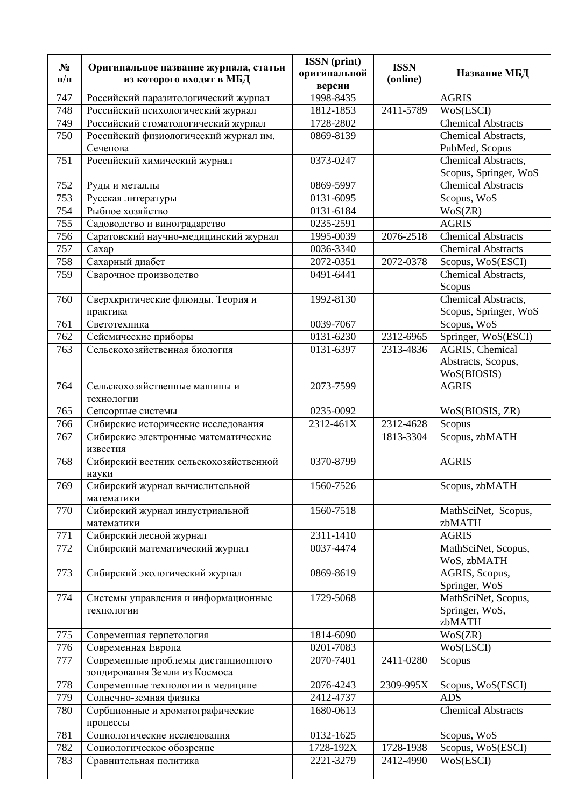| $N_2$<br>$\Pi/\Pi$ | Оригинальное название журнала, статьи<br>из которого входят в МБД | <b>ISSN</b> (print)<br>оригинальной<br>версии | <b>ISSN</b><br>(online) | Название МБД                           |
|--------------------|-------------------------------------------------------------------|-----------------------------------------------|-------------------------|----------------------------------------|
| 747                | Российский паразитологический журнал                              | 1998-8435                                     |                         | <b>AGRIS</b>                           |
| 748                | Российский психологический журнал                                 | 1812-1853                                     | 2411-5789               | WoS(ESCI)                              |
| 749                | Российский стоматологический журнал                               | 1728-2802                                     |                         | <b>Chemical Abstracts</b>              |
| 750                | Российский физиологический журнал им.                             | 0869-8139                                     |                         | Chemical Abstracts,                    |
|                    | Сеченова                                                          |                                               |                         | PubMed, Scopus                         |
| 751                | Российский химический журнал                                      | 0373-0247                                     |                         | Chemical Abstracts,                    |
|                    |                                                                   |                                               |                         | Scopus, Springer, WoS                  |
| 752                | Руды и металлы                                                    | 0869-5997                                     |                         | <b>Chemical Abstracts</b>              |
| 753                | Русская литературы                                                | 0131-6095                                     |                         | Scopus, WoS                            |
| 754                | Рыбное хозяйство                                                  | 0131-6184                                     |                         | WoS(ZR)                                |
| 755                | Садоводство и виноградарство                                      | 0235-2591                                     |                         | <b>AGRIS</b>                           |
| 756                | Саратовский научно-медицинский журнал                             | 1995-0039                                     | 2076-2518               | <b>Chemical Abstracts</b>              |
| 757                | Caxap                                                             | 0036-3340                                     |                         | <b>Chemical Abstracts</b>              |
| 758                | Сахарный диабет                                                   | 2072-0351                                     | 2072-0378               | Scopus, WoS(ESCI)                      |
| 759                | Сварочное производство                                            | 0491-6441                                     |                         | Chemical Abstracts,                    |
|                    |                                                                   |                                               |                         | Scopus                                 |
| 760                | Сверхкритические флюиды. Теория и                                 | 1992-8130                                     |                         | Chemical Abstracts,                    |
|                    | практика                                                          |                                               |                         | Scopus, Springer, WoS                  |
| 761                | Светотехника                                                      | 0039-7067                                     |                         | Scopus, WoS                            |
| 762<br>763         | Сейсмические приборы<br>Сельскохозяйственная биология             | 0131-6230<br>0131-6397                        | 2312-6965<br>2313-4836  | Springer, WoS(ESCI)<br>AGRIS, Chemical |
|                    |                                                                   |                                               |                         | Abstracts, Scopus,                     |
|                    |                                                                   |                                               |                         | WoS(BIOSIS)                            |
| 764                | Сельскохозяйственные машины и                                     | 2073-7599                                     |                         | <b>AGRIS</b>                           |
|                    | технологии                                                        |                                               |                         |                                        |
| 765                | Сенсорные системы                                                 | 0235-0092                                     |                         | WoS(BIOSIS, ZR)                        |
| 766                | Сибирские исторические исследования                               | 2312-461X                                     | 2312-4628               | Scopus                                 |
| 767                | Сибирские электронные математические<br>известия                  |                                               | 1813-3304               | Scopus, zbMATH                         |
| 768                | Сибирский вестник сельскохозяйственной<br>науки                   | 0370-8799                                     |                         | <b>AGRIS</b>                           |
| 769                | Сибирский журнал вычислительной<br>математики                     | 1560-7526                                     |                         | Scopus, zbMATH                         |
| 770                | Сибирский журнал индустриальной                                   | 1560-7518                                     |                         | MathSciNet, Scopus,                    |
|                    | математики                                                        |                                               |                         | zbMATH<br><b>AGRIS</b>                 |
| 771<br>772         | Сибирский лесной журнал<br>Сибирский математический журнал        | 2311-1410<br>0037-4474                        |                         | MathSciNet, Scopus,                    |
|                    |                                                                   |                                               |                         | WoS, zbMATH                            |
| 773                | Сибирский экологический журнал                                    | 0869-8619                                     |                         | AGRIS, Scopus,                         |
|                    |                                                                   |                                               |                         | Springer, WoS                          |
| 774                | Системы управления и информационные                               | 1729-5068                                     |                         | MathSciNet, Scopus,                    |
|                    | технологии                                                        |                                               |                         | Springer, WoS,                         |
|                    |                                                                   |                                               |                         | zbMATH                                 |
| 775                | Современная герпетология                                          | 1814-6090                                     |                         | WoS(ZR)                                |
| 776                | Современная Европа                                                | 0201-7083                                     |                         | WoS(ESCI)                              |
| 777                | Современные проблемы дистанционного                               | 2070-7401                                     | 2411-0280               | Scopus                                 |
|                    | зондирования Земли из Космоса                                     |                                               |                         |                                        |
| 778                | Современные технологии в медицине                                 | 2076-4243                                     | 2309-995X               | Scopus, WoS(ESCI)                      |
| 779                | Солнечно-земная физика                                            | 2412-4737                                     |                         | <b>ADS</b>                             |
| 780                | Сорбционные и хроматографические                                  | 1680-0613                                     |                         | <b>Chemical Abstracts</b>              |
|                    | процессы                                                          |                                               |                         |                                        |
| 781                | Социологические исследования                                      | 0132-1625                                     |                         | Scopus, WoS                            |
| 782<br>783         | Социологическое обозрение                                         | 1728-192X<br>2221-3279                        | 1728-1938<br>2412-4990  | Scopus, WoS(ESCI)<br>WoS(ESCI)         |
|                    | Сравнительная политика                                            |                                               |                         |                                        |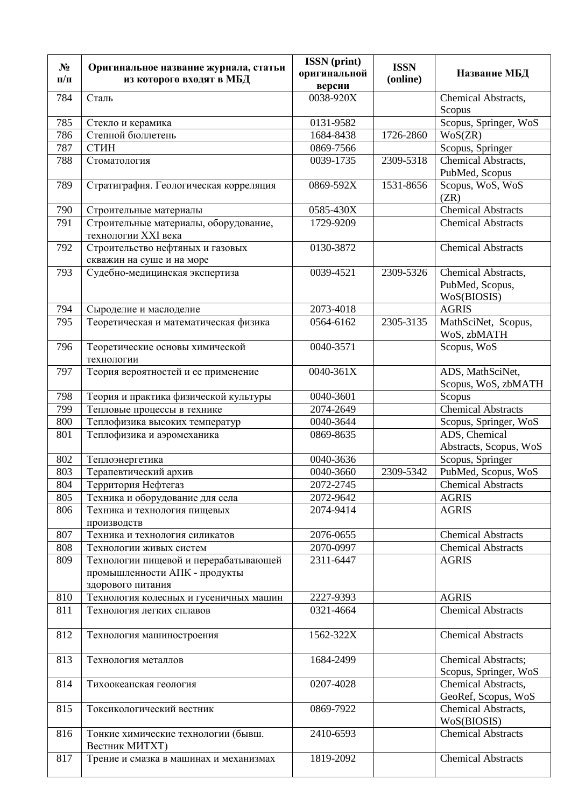| $N_2$     | Оригинальное название журнала, статьи                        | <b>ISSN</b> (print)     | <b>ISSN</b> |                                              |
|-----------|--------------------------------------------------------------|-------------------------|-------------|----------------------------------------------|
| $\Pi/\Pi$ | из которого входят в МБД                                     | оригинальной            | (online)    | Название МБД                                 |
| 784       | Сталь                                                        | версии<br>$0038 - 920X$ |             | Chemical Abstracts,                          |
|           |                                                              |                         |             | Scopus                                       |
| 785       | Стекло и керамика                                            | 0131-9582               |             | Scopus, Springer, WoS                        |
| 786       | Степной бюллетень                                            | 1684-8438               | 1726-2860   | WoS(ZR)                                      |
| 787       | СТИН                                                         | 0869-7566               |             | Scopus, Springer                             |
| 788       | Стоматология                                                 | 0039-1735               | 2309-5318   | Chemical Abstracts,                          |
|           |                                                              |                         |             | PubMed, Scopus                               |
| 789       | Стратиграфия. Геологическая корреляция                       | 0869-592X               | 1531-8656   | Scopus, WoS, WoS<br>(ZR)                     |
| 790       | Строительные материалы                                       | 0585-430X               |             | <b>Chemical Abstracts</b>                    |
| 791       | Строительные материалы, оборудование,<br>технологии XXI века | 1729-9209               |             | <b>Chemical Abstracts</b>                    |
| 792       | Строительство нефтяных и газовых                             | 0130-3872               |             | <b>Chemical Abstracts</b>                    |
|           | скважин на суше и на море                                    |                         |             |                                              |
| 793       | Судебно-медицинская экспертиза                               | 0039-4521               | 2309-5326   | Chemical Abstracts,                          |
|           |                                                              |                         |             | PubMed, Scopus,                              |
|           |                                                              |                         |             | WoS(BIOSIS)                                  |
| 794       | Сыроделие и маслоделие                                       | 2073-4018               |             | <b>AGRIS</b>                                 |
| 795       | Теоретическая и математическая физика                        | 0564-6162               | 2305-3135   | MathSciNet, Scopus,                          |
| 796       |                                                              | 0040-3571               |             | WoS, zbMATH<br>Scopus, WoS                   |
|           | Теоретические основы химической<br>технологии                |                         |             |                                              |
| 797       | Теория вероятностей и ее применение                          | 0040-361X               |             | ADS, MathSciNet,                             |
|           |                                                              |                         |             | Scopus, WoS, zbMATH                          |
| 798       | Теория и практика физической культуры                        | 0040-3601               |             | Scopus                                       |
| 799       | Тепловые процессы в технике                                  | 2074-2649               |             | <b>Chemical Abstracts</b>                    |
| 800       | Теплофизика высоких температур                               | 0040-3644               |             | Scopus, Springer, WoS                        |
| 801       | Теплофизика и аэромеханика                                   | 0869-8635               |             | ADS, Chemical                                |
|           |                                                              |                         |             | Abstracts, Scopus, WoS                       |
| 802       | Теплоэнергетика                                              | 0040-3636               |             | Scopus, Springer                             |
| 803       | Терапевтический архив                                        | 0040-3660               | 2309-5342   | PubMed, Scopus, WoS                          |
| 804       | Территория Нефтегаз                                          | 2072-2745               |             | <b>Chemical Abstracts</b>                    |
| 805       | Техника и оборудование для села                              | 2072-9642               |             | <b>AGRIS</b>                                 |
| 806       | Техника и технология пищевых                                 | 2074-9414               |             | <b>AGRIS</b>                                 |
|           | производств                                                  |                         |             |                                              |
| 807       | Техника и технология силикатов                               | 2076-0655               |             | <b>Chemical Abstracts</b>                    |
| 808       | Технологии живых систем                                      | 2070-0997               |             | <b>Chemical Abstracts</b>                    |
| 809       | Технологии пищевой и перерабатывающей                        | 2311-6447               |             | <b>AGRIS</b>                                 |
|           | промышленности АПК - продукты                                |                         |             |                                              |
|           | здорового питания                                            |                         |             |                                              |
| 810       | Технология колесных и гусеничных машин                       | 2227-9393               |             | <b>AGRIS</b>                                 |
| 811       | Технология легких сплавов                                    | 0321-4664               |             | <b>Chemical Abstracts</b>                    |
| 812       | Технология машиностроения                                    | 1562-322X               |             | <b>Chemical Abstracts</b>                    |
| 813       | Технология металлов                                          | 1684-2499               |             | Chemical Abstracts;<br>Scopus, Springer, WoS |
| 814       | Тихоокеанская геология                                       | 0207-4028               |             | Chemical Abstracts,                          |
|           |                                                              |                         |             | GeoRef, Scopus, WoS                          |
| 815       | Токсикологический вестник                                    | 0869-7922               |             | Chemical Abstracts,                          |
|           |                                                              |                         |             | WoS(BIOSIS)                                  |
| 816       | Тонкие химические технологии (бывш.                          | 2410-6593               |             | <b>Chemical Abstracts</b>                    |
|           | Вестник МИТХТ)                                               |                         |             |                                              |
| 817       | Трение и смазка в машинах и механизмах                       | 1819-2092               |             | <b>Chemical Abstracts</b>                    |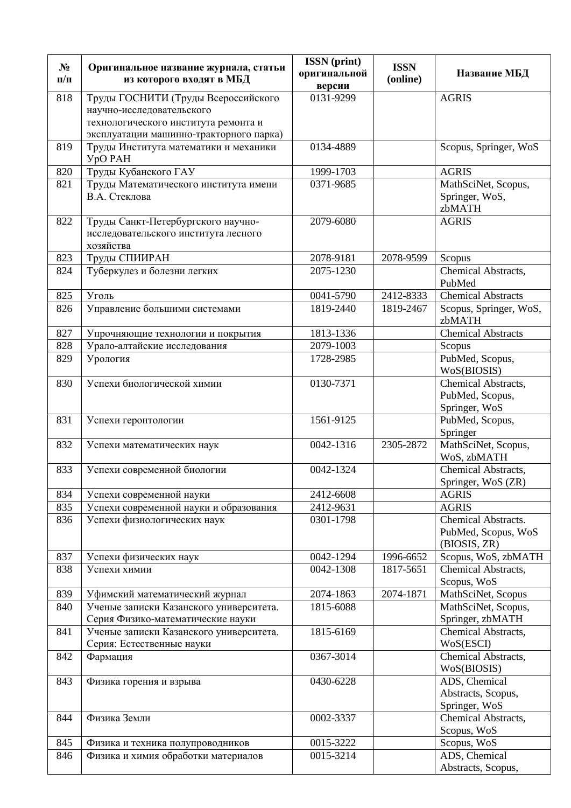| $N_2$<br>$\Pi/\Pi$ | Оригинальное название журнала, статьи<br>из которого входят в МБД            | <b>ISSN</b> (print)<br>оригинальной<br>версии | <b>ISSN</b><br>(online) | Название МБД                              |
|--------------------|------------------------------------------------------------------------------|-----------------------------------------------|-------------------------|-------------------------------------------|
| 818                | Труды ГОСНИТИ (Труды Всероссийского                                          | 0131-9299                                     |                         | <b>AGRIS</b>                              |
|                    | научно-исследовательского                                                    |                                               |                         |                                           |
|                    | технологического института ремонта и                                         |                                               |                         |                                           |
|                    | эксплуатации машинно-тракторного парка)                                      |                                               |                         |                                           |
| 819                | Труды Института математики и механики<br><b>YpO PAH</b>                      | 0134-4889                                     |                         | Scopus, Springer, WoS                     |
| 820                | Труды Кубанского ГАУ                                                         | 1999-1703                                     |                         | <b>AGRIS</b>                              |
| 821                | Труды Математического института имени                                        | 0371-9685                                     |                         | MathSciNet, Scopus,                       |
|                    | В.А. Стеклова                                                                |                                               |                         | Springer, WoS,<br>zbMATH                  |
| 822                | Труды Санкт-Петербургского научно-                                           | 2079-6080                                     |                         | <b>AGRIS</b>                              |
|                    | исследовательского института лесного<br>хозяйства                            |                                               |                         |                                           |
| 823                | Труды СПИИРАН                                                                | 2078-9181                                     | 2078-9599               | Scopus                                    |
| 824                | Туберкулез и болезни легких                                                  | 2075-1230                                     |                         | Chemical Abstracts,                       |
|                    |                                                                              |                                               |                         | PubMed                                    |
| 825                | Уголь                                                                        | 0041-5790                                     | 2412-8333               | <b>Chemical Abstracts</b>                 |
| 826                | Управление большими системами                                                | 1819-2440                                     | 1819-2467               | Scopus, Springer, WoS,<br>zbMATH          |
| 827                | Упрочняющие технологии и покрытия                                            | 1813-1336                                     |                         | <b>Chemical Abstracts</b>                 |
| 828                | Урало-алтайские исследования                                                 | 2079-1003                                     |                         | Scopus                                    |
| 829                | Урология                                                                     | 1728-2985                                     |                         | PubMed, Scopus,<br>WoS(BIOSIS)            |
| 830                | Успехи биологической химии                                                   | 0130-7371                                     |                         | Chemical Abstracts,                       |
|                    |                                                                              |                                               |                         | PubMed, Scopus,                           |
|                    |                                                                              |                                               |                         | Springer, WoS                             |
| 831                | Успехи геронтологии                                                          | 1561-9125                                     |                         | PubMed, Scopus,<br>Springer               |
| 832                | Успехи математических наук                                                   | 0042-1316                                     | 2305-2872               | MathSciNet, Scopus,<br>WoS, zbMATH        |
| 833                | Успехи современной биологии                                                  | 0042-1324                                     |                         | Chemical Abstracts,<br>Springer, WoS (ZR) |
| 834                | Успехи современной науки                                                     | 2412-6608                                     |                         | <b>AGRIS</b>                              |
| 835                | Успехи современной науки и образования                                       | 2412-9631                                     |                         | <b>AGRIS</b>                              |
| 836                | Успехи физиологических наук                                                  | 0301-1798                                     |                         | Chemical Abstracts.                       |
|                    |                                                                              |                                               |                         | PubMed, Scopus, WoS                       |
|                    |                                                                              |                                               |                         | (BIOSIS, ZR)                              |
| 837                | Успехи физических наук                                                       | 0042-1294                                     | 1996-6652               | Scopus, WoS, zbMATH                       |
| 838                | Успехи химии                                                                 | 0042-1308                                     | 1817-5651               | Chemical Abstracts,                       |
|                    |                                                                              |                                               |                         | Scopus, WoS                               |
| 839                | Уфимский математический журнал                                               | 2074-1863                                     | 2074-1871               | MathSciNet, Scopus                        |
| 840                | Ученые записки Казанского университета.<br>Серия Физико-математические науки | 1815-6088                                     |                         | MathSciNet, Scopus,<br>Springer, zbMATH   |
| 841                | Ученые записки Казанского университета.                                      | 1815-6169                                     |                         | Chemical Abstracts,                       |
|                    | Серия: Естественные науки                                                    |                                               |                         | WoS(ESCI)                                 |
| 842                | Фармация                                                                     | 0367-3014                                     |                         | Chemical Abstracts,                       |
|                    |                                                                              |                                               |                         | WoS(BIOSIS)                               |
| 843                | Физика горения и взрыва                                                      | 0430-6228                                     |                         | ADS, Chemical                             |
|                    |                                                                              |                                               |                         | Abstracts, Scopus,                        |
|                    |                                                                              |                                               |                         | Springer, WoS                             |
| 844                | Физика Земли                                                                 | 0002-3337                                     |                         | Chemical Abstracts,                       |
|                    |                                                                              |                                               |                         | Scopus, WoS                               |
| 845                | Физика и техника полупроводников                                             | 0015-3222                                     |                         | Scopus, WoS                               |
| 846                | Физика и химия обработки материалов                                          | 0015-3214                                     |                         | ADS, Chemical<br>Abstracts, Scopus,       |
|                    |                                                                              |                                               |                         |                                           |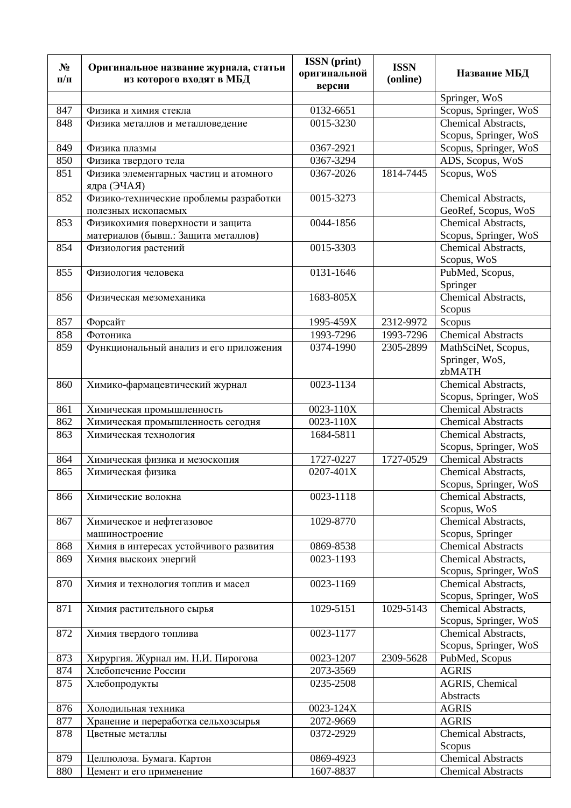| $N_2$<br>$\Pi/\Pi$ | Оригинальное название журнала, статьи<br>из которого входят в МБД       | <b>ISSN</b> (print)<br>оригинальной<br>версии | <b>ISSN</b><br>(online) | Название МБД                                 |
|--------------------|-------------------------------------------------------------------------|-----------------------------------------------|-------------------------|----------------------------------------------|
|                    |                                                                         |                                               |                         | Springer, WoS                                |
| 847                | Физика и химия стекла                                                   | 0132-6651                                     |                         | Scopus, Springer, WoS                        |
| 848                | Физика металлов и металловедение                                        | 0015-3230                                     |                         | Chemical Abstracts,                          |
|                    |                                                                         |                                               |                         | Scopus, Springer, WoS                        |
| 849                | Физика плазмы                                                           | 0367-2921                                     |                         | Scopus, Springer, WoS                        |
| 850                | Физика твердого тела                                                    | 0367-3294                                     |                         | ADS, Scopus, WoS                             |
| 851                | Физика элементарных частиц и атомного<br>ядра (ЭЧАЯ)                    | $\overline{0}367 - 2026$                      | 1814-7445               | Scopus, WoS                                  |
| 852                | Физико-технические проблемы разработки<br>полезных ископаемых           | 0015-3273                                     |                         | Chemical Abstracts,<br>GeoRef, Scopus, WoS   |
| 853                | Физикохимия поверхности и защита<br>материалов (бывш.: Защита металлов) | 0044-1856                                     |                         | Chemical Abstracts,<br>Scopus, Springer, WoS |
| 854                | Физиология растений                                                     | 0015-3303                                     |                         | Chemical Abstracts,<br>Scopus, WoS           |
| 855                | Физиология человека                                                     | 0131-1646                                     |                         | PubMed, Scopus,<br>Springer                  |
| 856                | Физическая мезомеханика                                                 | 1683-805X                                     |                         | Chemical Abstracts,<br>Scopus                |
| 857                | Форсайт                                                                 | 1995-459X                                     | 2312-9972               | Scopus                                       |
| 858                | Фотоника                                                                | 1993-7296                                     | 1993-7296               | <b>Chemical Abstracts</b>                    |
| 859                | Функциональный анализ и его приложения                                  | 0374-1990                                     | 2305-2899               | MathSciNet, Scopus,                          |
|                    |                                                                         |                                               |                         | Springer, WoS,<br>zbMATH                     |
| 860                | Химико-фармацевтический журнал                                          | 0023-1134                                     |                         | Chemical Abstracts,<br>Scopus, Springer, WoS |
| 861                | Химическая промышленность                                               | 0023-110X                                     |                         | <b>Chemical Abstracts</b>                    |
| 862                | Химическая промышленность сегодня                                       | 0023-110X                                     |                         | <b>Chemical Abstracts</b>                    |
| 863                | Химическая технология                                                   | 1684-5811                                     |                         | Chemical Abstracts,<br>Scopus, Springer, WoS |
| 864                | Химическая физика и мезоскопия                                          | 1727-0227                                     | 1727-0529               | <b>Chemical Abstracts</b>                    |
| 865                | Химическая физика                                                       | 0207-401X                                     |                         | Chemical Abstracts,<br>Scopus, Springer, WoS |
| 866                | Химические волокна                                                      | 0023-1118                                     |                         | Chemical Abstracts,<br>Scopus, WoS           |
| 867                | Химическое и нефтегазовое                                               | 1029-8770                                     |                         | Chemical Abstracts,                          |
|                    | машиностроение                                                          |                                               |                         | Scopus, Springer                             |
| 868                | Химия в интересах устойчивого развития                                  | 0869-8538                                     |                         | Chemical Abstracts                           |
| 869                | Химия выскоих энергий                                                   | 0023-1193                                     |                         | Chemical Abstracts,<br>Scopus, Springer, WoS |
| 870                | Химия и технология топлив и масел                                       | 0023-1169                                     |                         | Chemical Abstracts,<br>Scopus, Springer, WoS |
| 871                | Химия растительного сырья                                               | 1029-5151                                     | 1029-5143               | Chemical Abstracts,<br>Scopus, Springer, WoS |
| 872                | Химия твердого топлива                                                  | 0023-1177                                     |                         | Chemical Abstracts,<br>Scopus, Springer, WoS |
| 873                | Хирургия. Журнал им. Н.И. Пирогова                                      | 0023-1207                                     | 2309-5628               | PubMed, Scopus                               |
| 874                | Хлебопечение России                                                     | 2073-3569                                     |                         | <b>AGRIS</b>                                 |
| 875                | Хлебопродукты                                                           | 0235-2508                                     |                         | AGRIS, Chemical<br>Abstracts                 |
| 876                | Холодильная техника                                                     | 0023-124X                                     |                         | <b>AGRIS</b>                                 |
| 877                | Хранение и переработка сельхозсырья                                     | 2072-9669                                     |                         | <b>AGRIS</b>                                 |
| 878                | Цветные металлы                                                         | 0372-2929                                     |                         | Chemical Abstracts,<br>Scopus                |
| 879                | Целлюлоза. Бумага. Картон                                               | 0869-4923                                     |                         | <b>Chemical Abstracts</b>                    |
| 880                | Цемент и его применение                                                 | 1607-8837                                     |                         | <b>Chemical Abstracts</b>                    |